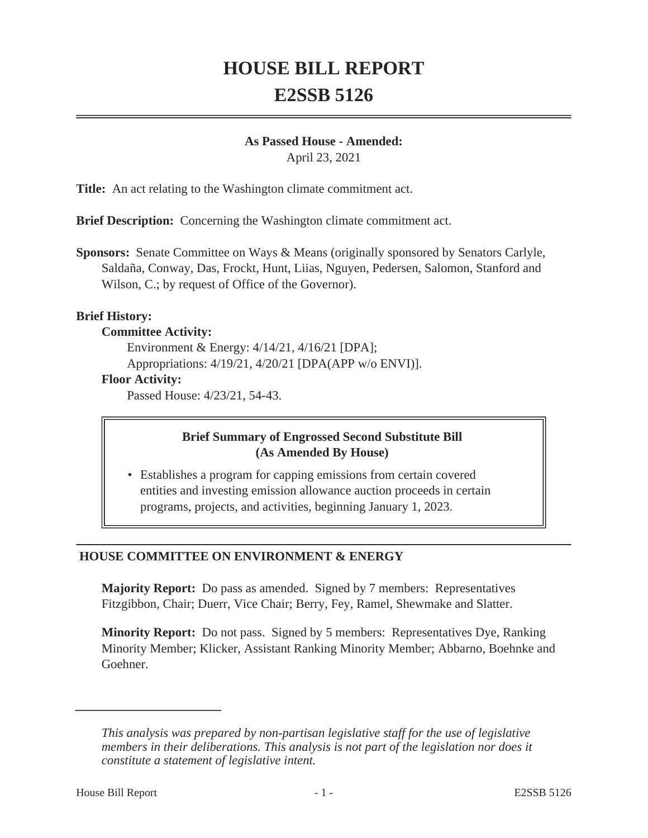# **HOUSE BILL REPORT E2SSB 5126**

#### **As Passed House - Amended:**

April 23, 2021

**Title:** An act relating to the Washington climate commitment act.

**Brief Description:** Concerning the Washington climate commitment act.

**Sponsors:** Senate Committee on Ways & Means (originally sponsored by Senators Carlyle, Saldaña, Conway, Das, Frockt, Hunt, Liias, Nguyen, Pedersen, Salomon, Stanford and Wilson, C.; by request of Office of the Governor).

#### **Brief History:**

#### **Committee Activity:**

Environment & Energy: 4/14/21, 4/16/21 [DPA]; Appropriations: 4/19/21, 4/20/21 [DPA(APP w/o ENVI)]. **Floor Activity:**

Passed House: 4/23/21, 54-43.

# **Brief Summary of Engrossed Second Substitute Bill (As Amended By House)**

• Establishes a program for capping emissions from certain covered entities and investing emission allowance auction proceeds in certain programs, projects, and activities, beginning January 1, 2023.

# **HOUSE COMMITTEE ON ENVIRONMENT & ENERGY**

**Majority Report:** Do pass as amended. Signed by 7 members: Representatives Fitzgibbon, Chair; Duerr, Vice Chair; Berry, Fey, Ramel, Shewmake and Slatter.

**Minority Report:** Do not pass. Signed by 5 members: Representatives Dye, Ranking Minority Member; Klicker, Assistant Ranking Minority Member; Abbarno, Boehnke and Goehner.

*This analysis was prepared by non-partisan legislative staff for the use of legislative members in their deliberations. This analysis is not part of the legislation nor does it constitute a statement of legislative intent.*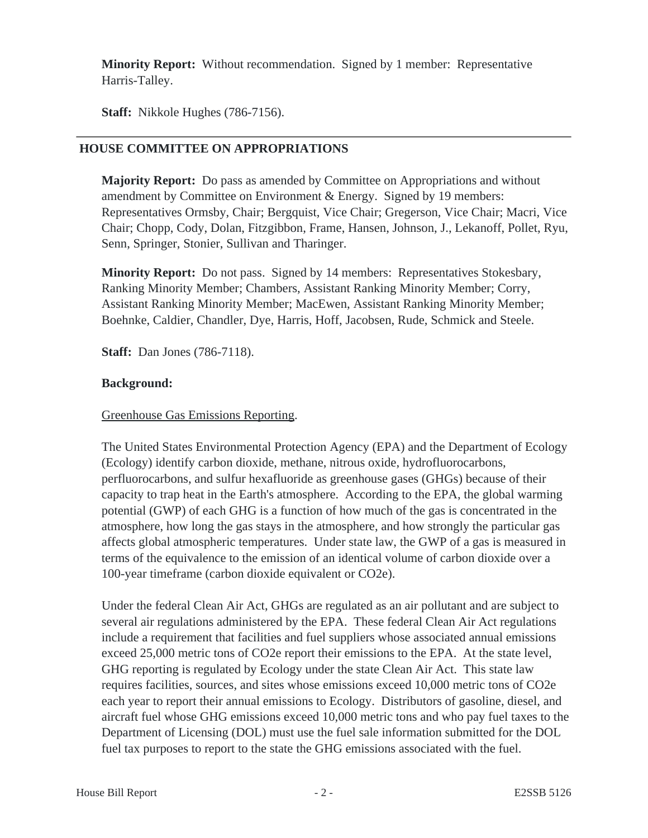**Minority Report:** Without recommendation. Signed by 1 member: Representative Harris-Talley.

**Staff:** Nikkole Hughes (786-7156).

# **HOUSE COMMITTEE ON APPROPRIATIONS**

**Majority Report:** Do pass as amended by Committee on Appropriations and without amendment by Committee on Environment & Energy. Signed by 19 members: Representatives Ormsby, Chair; Bergquist, Vice Chair; Gregerson, Vice Chair; Macri, Vice Chair; Chopp, Cody, Dolan, Fitzgibbon, Frame, Hansen, Johnson, J., Lekanoff, Pollet, Ryu, Senn, Springer, Stonier, Sullivan and Tharinger.

**Minority Report:** Do not pass. Signed by 14 members: Representatives Stokesbary, Ranking Minority Member; Chambers, Assistant Ranking Minority Member; Corry, Assistant Ranking Minority Member; MacEwen, Assistant Ranking Minority Member; Boehnke, Caldier, Chandler, Dye, Harris, Hoff, Jacobsen, Rude, Schmick and Steele.

**Staff:** Dan Jones (786-7118).

# **Background:**

# Greenhouse Gas Emissions Reporting.

The United States Environmental Protection Agency (EPA) and the Department of Ecology (Ecology) identify carbon dioxide, methane, nitrous oxide, hydrofluorocarbons, perfluorocarbons, and sulfur hexafluoride as greenhouse gases (GHGs) because of their capacity to trap heat in the Earth's atmosphere. According to the EPA, the global warming potential (GWP) of each GHG is a function of how much of the gas is concentrated in the atmosphere, how long the gas stays in the atmosphere, and how strongly the particular gas affects global atmospheric temperatures. Under state law, the GWP of a gas is measured in terms of the equivalence to the emission of an identical volume of carbon dioxide over a 100-year timeframe (carbon dioxide equivalent or CO2e).

Under the federal Clean Air Act, GHGs are regulated as an air pollutant and are subject to several air regulations administered by the EPA. These federal Clean Air Act regulations include a requirement that facilities and fuel suppliers whose associated annual emissions exceed 25,000 metric tons of CO2e report their emissions to the EPA. At the state level, GHG reporting is regulated by Ecology under the state Clean Air Act. This state law requires facilities, sources, and sites whose emissions exceed 10,000 metric tons of CO2e each year to report their annual emissions to Ecology. Distributors of gasoline, diesel, and aircraft fuel whose GHG emissions exceed 10,000 metric tons and who pay fuel taxes to the Department of Licensing (DOL) must use the fuel sale information submitted for the DOL fuel tax purposes to report to the state the GHG emissions associated with the fuel.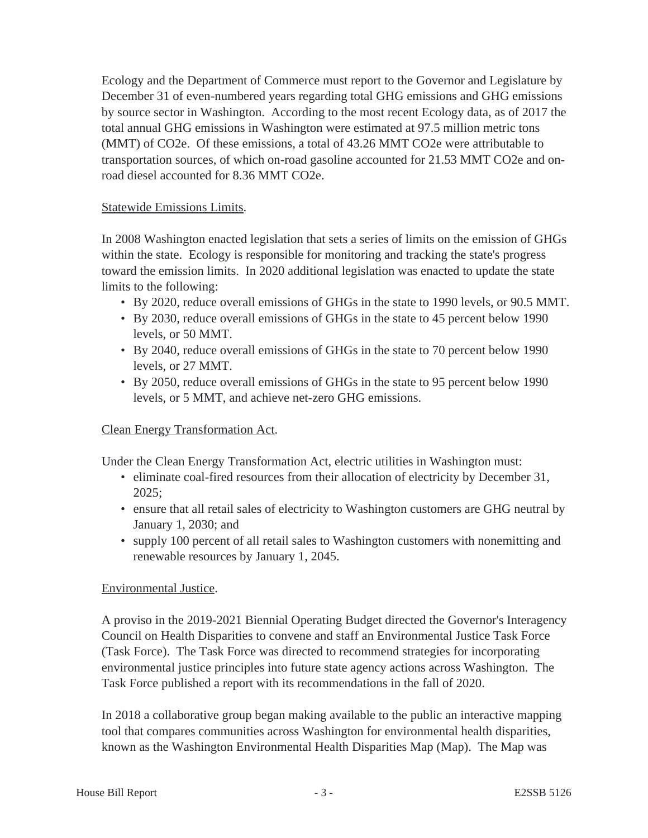Ecology and the Department of Commerce must report to the Governor and Legislature by December 31 of even-numbered years regarding total GHG emissions and GHG emissions by source sector in Washington. According to the most recent Ecology data, as of 2017 the total annual GHG emissions in Washington were estimated at 97.5 million metric tons (MMT) of CO2e. Of these emissions, a total of 43.26 MMT CO2e were attributable to transportation sources, of which on-road gasoline accounted for 21.53 MMT CO2e and onroad diesel accounted for 8.36 MMT CO2e.

#### Statewide Emissions Limits.

In 2008 Washington enacted legislation that sets a series of limits on the emission of GHGs within the state. Ecology is responsible for monitoring and tracking the state's progress toward the emission limits. In 2020 additional legislation was enacted to update the state limits to the following:

- By 2020, reduce overall emissions of GHGs in the state to 1990 levels, or 90.5 MMT.
- By 2030, reduce overall emissions of GHGs in the state to 45 percent below 1990 levels, or 50 MMT.
- By 2040, reduce overall emissions of GHGs in the state to 70 percent below 1990 levels, or 27 MMT.
- By 2050, reduce overall emissions of GHGs in the state to 95 percent below 1990 levels, or 5 MMT, and achieve net-zero GHG emissions.

# Clean Energy Transformation Act.

Under the Clean Energy Transformation Act, electric utilities in Washington must:

- eliminate coal-fired resources from their allocation of electricity by December 31, 2025;
- ensure that all retail sales of electricity to Washington customers are GHG neutral by January 1, 2030; and
- supply 100 percent of all retail sales to Washington customers with nonemitting and renewable resources by January 1, 2045.

# Environmental Justice.

A proviso in the 2019-2021 Biennial Operating Budget directed the Governor's Interagency Council on Health Disparities to convene and staff an Environmental Justice Task Force (Task Force). The Task Force was directed to recommend strategies for incorporating environmental justice principles into future state agency actions across Washington. The Task Force published a report with its recommendations in the fall of 2020.

In 2018 a collaborative group began making available to the public an interactive mapping tool that compares communities across Washington for environmental health disparities, known as the Washington Environmental Health Disparities Map (Map). The Map was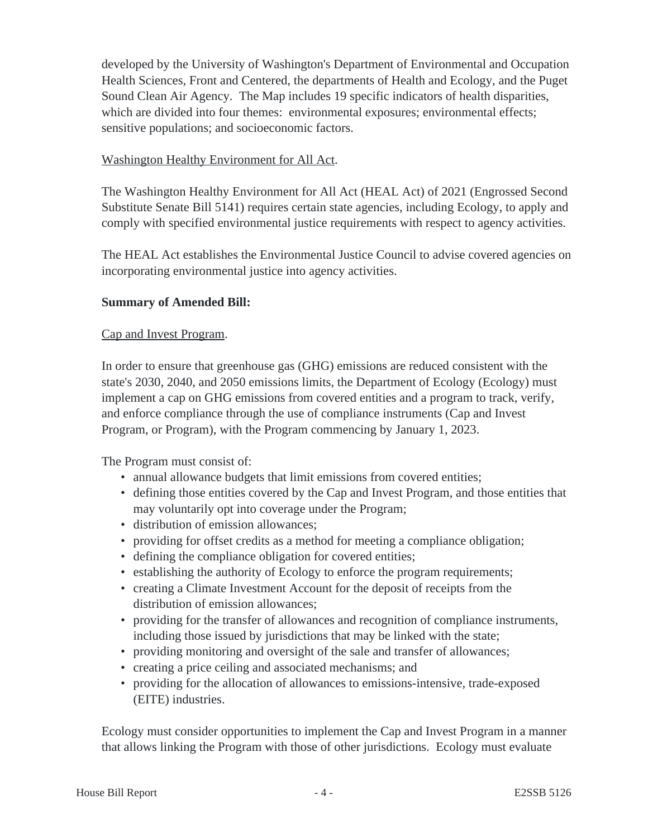developed by the University of Washington's Department of Environmental and Occupation Health Sciences, Front and Centered, the departments of Health and Ecology, and the Puget Sound Clean Air Agency. The Map includes 19 specific indicators of health disparities, which are divided into four themes: environmental exposures; environmental effects; sensitive populations; and socioeconomic factors.

# Washington Healthy Environment for All Act.

The Washington Healthy Environment for All Act (HEAL Act) of 2021 (Engrossed Second Substitute Senate Bill 5141) requires certain state agencies, including Ecology, to apply and comply with specified environmental justice requirements with respect to agency activities.

The HEAL Act establishes the Environmental Justice Council to advise covered agencies on incorporating environmental justice into agency activities.

# **Summary of Amended Bill:**

# Cap and Invest Program.

In order to ensure that greenhouse gas (GHG) emissions are reduced consistent with the state's 2030, 2040, and 2050 emissions limits, the Department of Ecology (Ecology) must implement a cap on GHG emissions from covered entities and a program to track, verify, and enforce compliance through the use of compliance instruments (Cap and Invest Program, or Program), with the Program commencing by January 1, 2023.

The Program must consist of:

- annual allowance budgets that limit emissions from covered entities;
- defining those entities covered by the Cap and Invest Program, and those entities that may voluntarily opt into coverage under the Program;
- distribution of emission allowances;
- providing for offset credits as a method for meeting a compliance obligation;
- defining the compliance obligation for covered entities;
- establishing the authority of Ecology to enforce the program requirements;
- creating a Climate Investment Account for the deposit of receipts from the distribution of emission allowances;
- providing for the transfer of allowances and recognition of compliance instruments, including those issued by jurisdictions that may be linked with the state;
- providing monitoring and oversight of the sale and transfer of allowances;
- creating a price ceiling and associated mechanisms; and
- providing for the allocation of allowances to emissions-intensive, trade-exposed (EITE) industries.

Ecology must consider opportunities to implement the Cap and Invest Program in a manner that allows linking the Program with those of other jurisdictions. Ecology must evaluate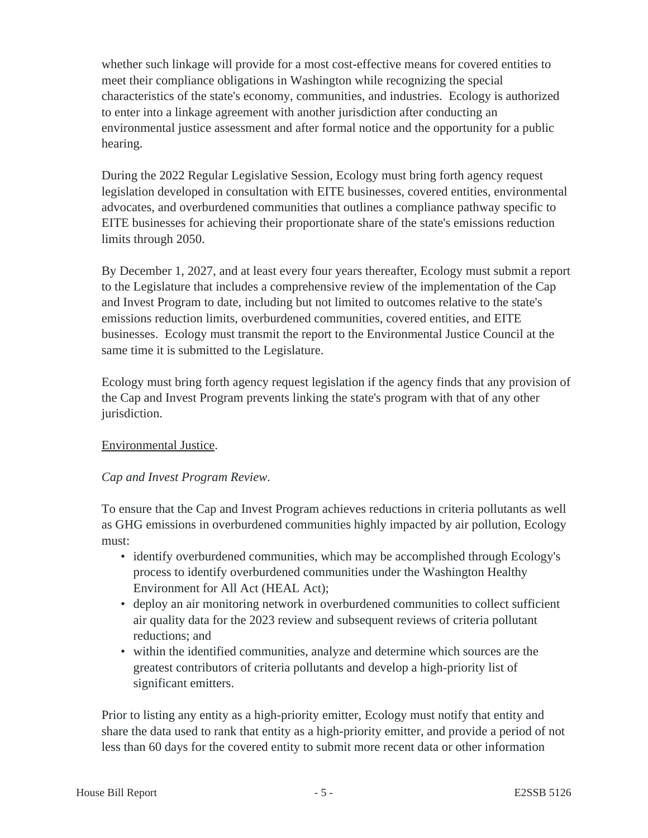whether such linkage will provide for a most cost-effective means for covered entities to meet their compliance obligations in Washington while recognizing the special characteristics of the state's economy, communities, and industries. Ecology is authorized to enter into a linkage agreement with another jurisdiction after conducting an environmental justice assessment and after formal notice and the opportunity for a public hearing.

During the 2022 Regular Legislative Session, Ecology must bring forth agency request legislation developed in consultation with EITE businesses, covered entities, environmental advocates, and overburdened communities that outlines a compliance pathway specific to EITE businesses for achieving their proportionate share of the state's emissions reduction limits through 2050.

By December 1, 2027, and at least every four years thereafter, Ecology must submit a report to the Legislature that includes a comprehensive review of the implementation of the Cap and Invest Program to date, including but not limited to outcomes relative to the state's emissions reduction limits, overburdened communities, covered entities, and EITE businesses. Ecology must transmit the report to the Environmental Justice Council at the same time it is submitted to the Legislature.

Ecology must bring forth agency request legislation if the agency finds that any provision of the Cap and Invest Program prevents linking the state's program with that of any other jurisdiction.

# Environmental Justice.

# *Cap and Invest Program Review.*

To ensure that the Cap and Invest Program achieves reductions in criteria pollutants as well as GHG emissions in overburdened communities highly impacted by air pollution, Ecology must:

- identify overburdened communities, which may be accomplished through Ecology's process to identify overburdened communities under the Washington Healthy Environment for All Act (HEAL Act);
- deploy an air monitoring network in overburdened communities to collect sufficient air quality data for the 2023 review and subsequent reviews of criteria pollutant reductions; and
- within the identified communities, analyze and determine which sources are the greatest contributors of criteria pollutants and develop a high-priority list of significant emitters.

Prior to listing any entity as a high-priority emitter, Ecology must notify that entity and share the data used to rank that entity as a high-priority emitter, and provide a period of not less than 60 days for the covered entity to submit more recent data or other information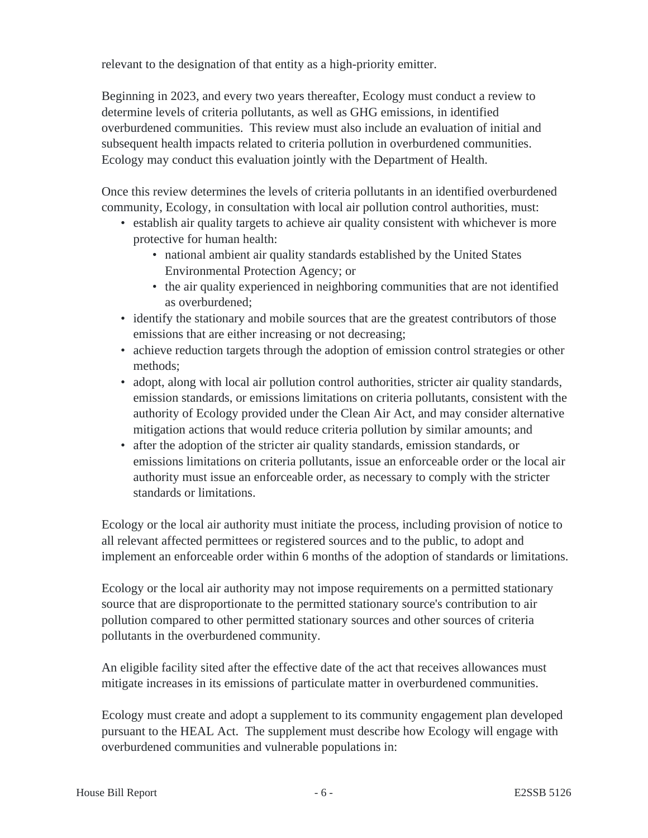relevant to the designation of that entity as a high-priority emitter.

Beginning in 2023, and every two years thereafter, Ecology must conduct a review to determine levels of criteria pollutants, as well as GHG emissions, in identified overburdened communities. This review must also include an evaluation of initial and subsequent health impacts related to criteria pollution in overburdened communities. Ecology may conduct this evaluation jointly with the Department of Health.

Once this review determines the levels of criteria pollutants in an identified overburdened community, Ecology, in consultation with local air pollution control authorities, must:

- establish air quality targets to achieve air quality consistent with whichever is more protective for human health:
	- national ambient air quality standards established by the United States Environmental Protection Agency; or
	- the air quality experienced in neighboring communities that are not identified as overburdened;
- identify the stationary and mobile sources that are the greatest contributors of those emissions that are either increasing or not decreasing;
- achieve reduction targets through the adoption of emission control strategies or other methods;
- adopt, along with local air pollution control authorities, stricter air quality standards, emission standards, or emissions limitations on criteria pollutants, consistent with the authority of Ecology provided under the Clean Air Act, and may consider alternative mitigation actions that would reduce criteria pollution by similar amounts; and
- after the adoption of the stricter air quality standards, emission standards, or emissions limitations on criteria pollutants, issue an enforceable order or the local air authority must issue an enforceable order, as necessary to comply with the stricter standards or limitations.

Ecology or the local air authority must initiate the process, including provision of notice to all relevant affected permittees or registered sources and to the public, to adopt and implement an enforceable order within 6 months of the adoption of standards or limitations.

Ecology or the local air authority may not impose requirements on a permitted stationary source that are disproportionate to the permitted stationary source's contribution to air pollution compared to other permitted stationary sources and other sources of criteria pollutants in the overburdened community.

An eligible facility sited after the effective date of the act that receives allowances must mitigate increases in its emissions of particulate matter in overburdened communities.

Ecology must create and adopt a supplement to its community engagement plan developed pursuant to the HEAL Act. The supplement must describe how Ecology will engage with overburdened communities and vulnerable populations in: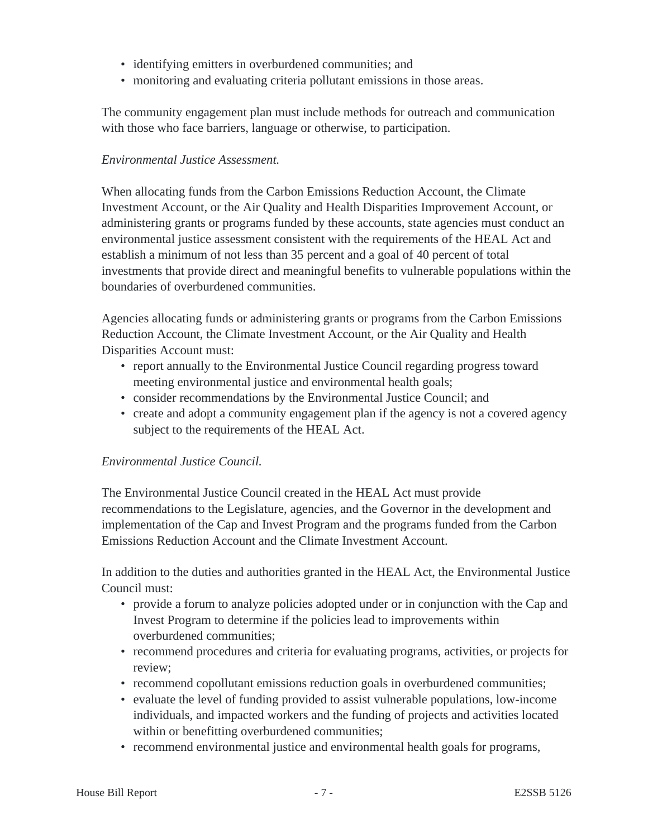- identifying emitters in overburdened communities; and
- monitoring and evaluating criteria pollutant emissions in those areas.

The community engagement plan must include methods for outreach and communication with those who face barriers, language or otherwise, to participation.

#### *Environmental Justice Assessment.*

When allocating funds from the Carbon Emissions Reduction Account, the Climate Investment Account, or the Air Quality and Health Disparities Improvement Account, or administering grants or programs funded by these accounts, state agencies must conduct an environmental justice assessment consistent with the requirements of the HEAL Act and establish a minimum of not less than 35 percent and a goal of 40 percent of total investments that provide direct and meaningful benefits to vulnerable populations within the boundaries of overburdened communities.

Agencies allocating funds or administering grants or programs from the Carbon Emissions Reduction Account, the Climate Investment Account, or the Air Quality and Health Disparities Account must:

- report annually to the Environmental Justice Council regarding progress toward meeting environmental justice and environmental health goals;
- consider recommendations by the Environmental Justice Council; and
- create and adopt a community engagement plan if the agency is not a covered agency subject to the requirements of the HEAL Act.

# *Environmental Justice Council.*

The Environmental Justice Council created in the HEAL Act must provide recommendations to the Legislature, agencies, and the Governor in the development and implementation of the Cap and Invest Program and the programs funded from the Carbon Emissions Reduction Account and the Climate Investment Account.

In addition to the duties and authorities granted in the HEAL Act, the Environmental Justice Council must:

- provide a forum to analyze policies adopted under or in conjunction with the Cap and Invest Program to determine if the policies lead to improvements within overburdened communities;
- recommend procedures and criteria for evaluating programs, activities, or projects for review;
- recommend copollutant emissions reduction goals in overburdened communities;
- evaluate the level of funding provided to assist vulnerable populations, low-income individuals, and impacted workers and the funding of projects and activities located within or benefitting overburdened communities;
- recommend environmental justice and environmental health goals for programs,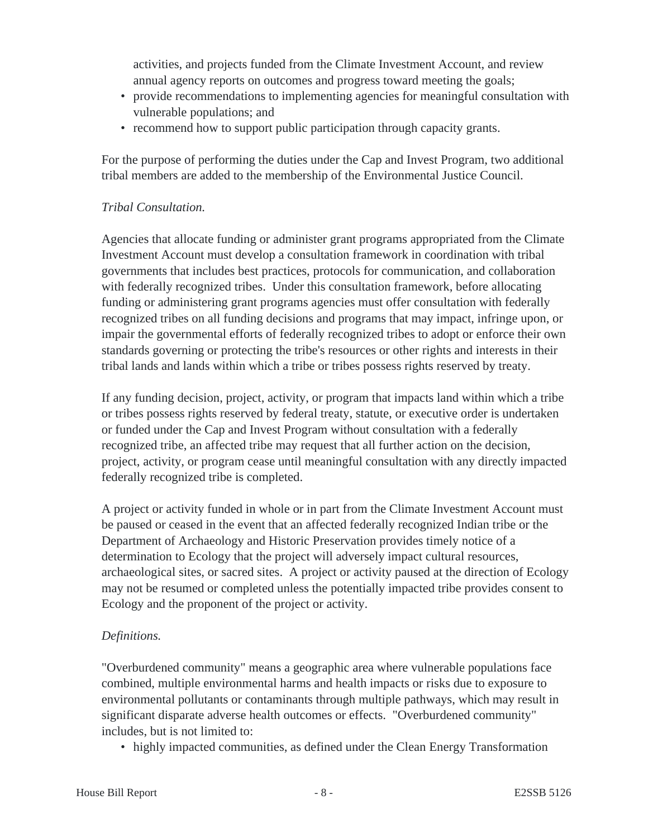activities, and projects funded from the Climate Investment Account, and review annual agency reports on outcomes and progress toward meeting the goals;

- provide recommendations to implementing agencies for meaningful consultation with vulnerable populations; and
- recommend how to support public participation through capacity grants.

For the purpose of performing the duties under the Cap and Invest Program, two additional tribal members are added to the membership of the Environmental Justice Council.

# *Tribal Consultation.*

Agencies that allocate funding or administer grant programs appropriated from the Climate Investment Account must develop a consultation framework in coordination with tribal governments that includes best practices, protocols for communication, and collaboration with federally recognized tribes. Under this consultation framework, before allocating funding or administering grant programs agencies must offer consultation with federally recognized tribes on all funding decisions and programs that may impact, infringe upon, or impair the governmental efforts of federally recognized tribes to adopt or enforce their own standards governing or protecting the tribe's resources or other rights and interests in their tribal lands and lands within which a tribe or tribes possess rights reserved by treaty.

If any funding decision, project, activity, or program that impacts land within which a tribe or tribes possess rights reserved by federal treaty, statute, or executive order is undertaken or funded under the Cap and Invest Program without consultation with a federally recognized tribe, an affected tribe may request that all further action on the decision, project, activity, or program cease until meaningful consultation with any directly impacted federally recognized tribe is completed.

A project or activity funded in whole or in part from the Climate Investment Account must be paused or ceased in the event that an affected federally recognized Indian tribe or the Department of Archaeology and Historic Preservation provides timely notice of a determination to Ecology that the project will adversely impact cultural resources, archaeological sites, or sacred sites. A project or activity paused at the direction of Ecology may not be resumed or completed unless the potentially impacted tribe provides consent to Ecology and the proponent of the project or activity.

# *Definitions.*

"Overburdened community" means a geographic area where vulnerable populations face combined, multiple environmental harms and health impacts or risks due to exposure to environmental pollutants or contaminants through multiple pathways, which may result in significant disparate adverse health outcomes or effects. "Overburdened community" includes, but is not limited to:

• highly impacted communities, as defined under the Clean Energy Transformation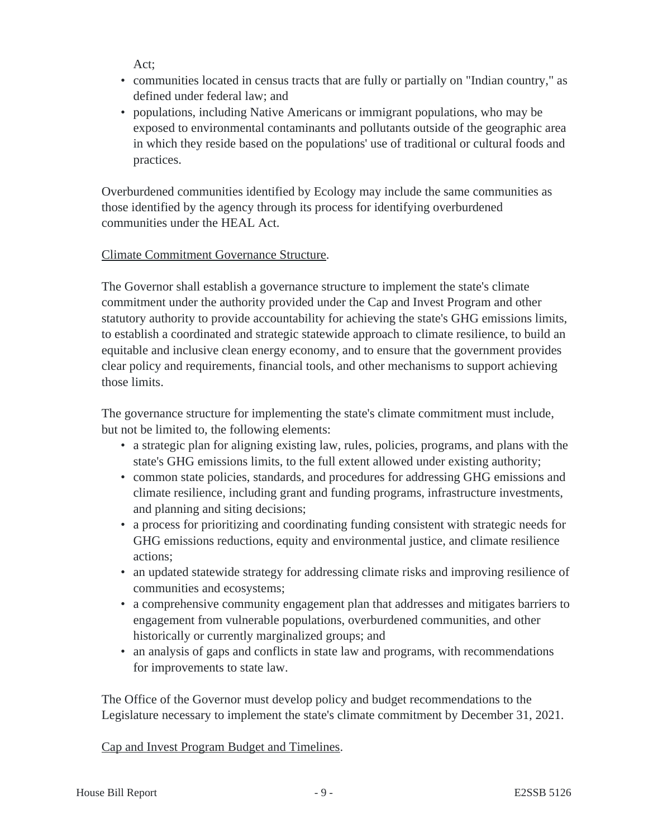Act;

- communities located in census tracts that are fully or partially on "Indian country," as defined under federal law; and
- populations, including Native Americans or immigrant populations, who may be exposed to environmental contaminants and pollutants outside of the geographic area in which they reside based on the populations' use of traditional or cultural foods and practices.

Overburdened communities identified by Ecology may include the same communities as those identified by the agency through its process for identifying overburdened communities under the HEAL Act.

# Climate Commitment Governance Structure.

The Governor shall establish a governance structure to implement the state's climate commitment under the authority provided under the Cap and Invest Program and other statutory authority to provide accountability for achieving the state's GHG emissions limits, to establish a coordinated and strategic statewide approach to climate resilience, to build an equitable and inclusive clean energy economy, and to ensure that the government provides clear policy and requirements, financial tools, and other mechanisms to support achieving those limits.

The governance structure for implementing the state's climate commitment must include, but not be limited to, the following elements:

- a strategic plan for aligning existing law, rules, policies, programs, and plans with the state's GHG emissions limits, to the full extent allowed under existing authority;
- common state policies, standards, and procedures for addressing GHG emissions and climate resilience, including grant and funding programs, infrastructure investments, and planning and siting decisions;
- a process for prioritizing and coordinating funding consistent with strategic needs for GHG emissions reductions, equity and environmental justice, and climate resilience actions;
- an updated statewide strategy for addressing climate risks and improving resilience of communities and ecosystems;
- a comprehensive community engagement plan that addresses and mitigates barriers to engagement from vulnerable populations, overburdened communities, and other historically or currently marginalized groups; and
- an analysis of gaps and conflicts in state law and programs, with recommendations for improvements to state law.

The Office of the Governor must develop policy and budget recommendations to the Legislature necessary to implement the state's climate commitment by December 31, 2021.

# Cap and Invest Program Budget and Timelines.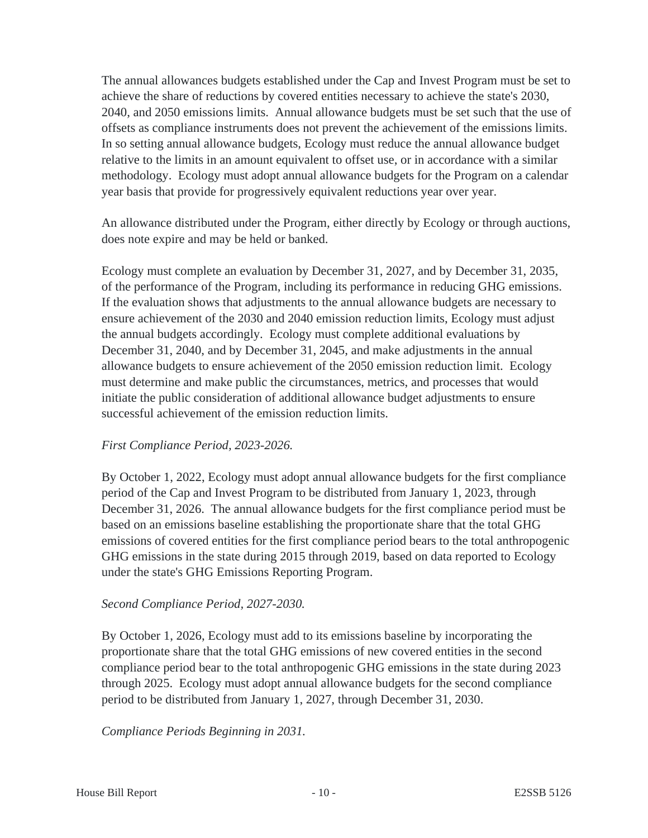The annual allowances budgets established under the Cap and Invest Program must be set to achieve the share of reductions by covered entities necessary to achieve the state's 2030, 2040, and 2050 emissions limits. Annual allowance budgets must be set such that the use of offsets as compliance instruments does not prevent the achievement of the emissions limits. In so setting annual allowance budgets, Ecology must reduce the annual allowance budget relative to the limits in an amount equivalent to offset use, or in accordance with a similar methodology. Ecology must adopt annual allowance budgets for the Program on a calendar year basis that provide for progressively equivalent reductions year over year.

An allowance distributed under the Program, either directly by Ecology or through auctions, does note expire and may be held or banked.

Ecology must complete an evaluation by December 31, 2027, and by December 31, 2035, of the performance of the Program, including its performance in reducing GHG emissions. If the evaluation shows that adjustments to the annual allowance budgets are necessary to ensure achievement of the 2030 and 2040 emission reduction limits, Ecology must adjust the annual budgets accordingly. Ecology must complete additional evaluations by December 31, 2040, and by December 31, 2045, and make adjustments in the annual allowance budgets to ensure achievement of the 2050 emission reduction limit. Ecology must determine and make public the circumstances, metrics, and processes that would initiate the public consideration of additional allowance budget adjustments to ensure successful achievement of the emission reduction limits.

#### *First Compliance Period, 2023-2026.*

By October 1, 2022, Ecology must adopt annual allowance budgets for the first compliance period of the Cap and Invest Program to be distributed from January 1, 2023, through December 31, 2026. The annual allowance budgets for the first compliance period must be based on an emissions baseline establishing the proportionate share that the total GHG emissions of covered entities for the first compliance period bears to the total anthropogenic GHG emissions in the state during 2015 through 2019, based on data reported to Ecology under the state's GHG Emissions Reporting Program.

#### *Second Compliance Period, 2027-2030.*

By October 1, 2026, Ecology must add to its emissions baseline by incorporating the proportionate share that the total GHG emissions of new covered entities in the second compliance period bear to the total anthropogenic GHG emissions in the state during 2023 through 2025. Ecology must adopt annual allowance budgets for the second compliance period to be distributed from January 1, 2027, through December 31, 2030.

*Compliance Periods Beginning in 2031.*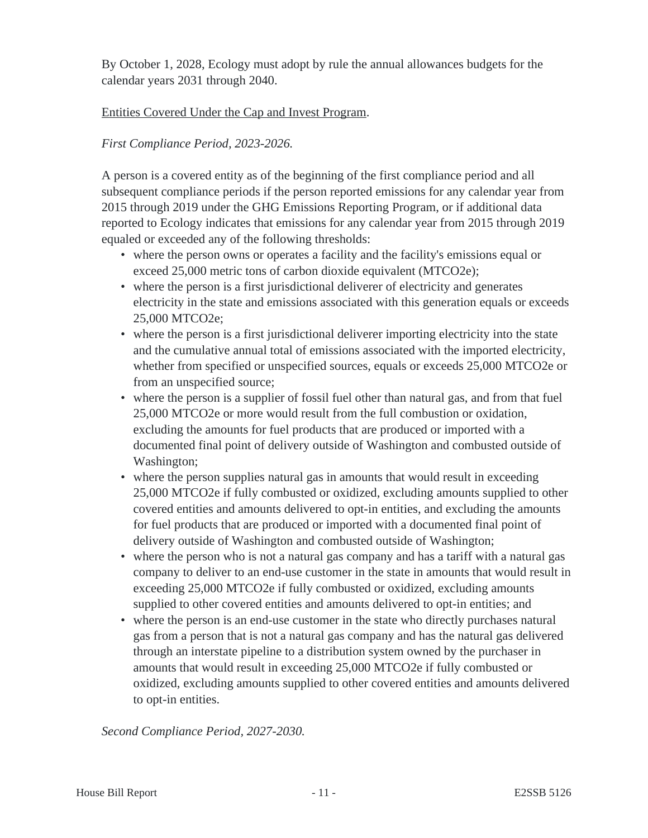By October 1, 2028, Ecology must adopt by rule the annual allowances budgets for the calendar years 2031 through 2040.

# Entities Covered Under the Cap and Invest Program.

# *First Compliance Period, 2023-2026.*

A person is a covered entity as of the beginning of the first compliance period and all subsequent compliance periods if the person reported emissions for any calendar year from 2015 through 2019 under the GHG Emissions Reporting Program, or if additional data reported to Ecology indicates that emissions for any calendar year from 2015 through 2019 equaled or exceeded any of the following thresholds:

- where the person owns or operates a facility and the facility's emissions equal or exceed 25,000 metric tons of carbon dioxide equivalent (MTCO2e);
- where the person is a first jurisdictional deliverer of electricity and generates electricity in the state and emissions associated with this generation equals or exceeds 25,000 MTCO2e;
- where the person is a first jurisdictional deliverer importing electricity into the state and the cumulative annual total of emissions associated with the imported electricity, whether from specified or unspecified sources, equals or exceeds 25,000 MTCO2e or from an unspecified source;
- where the person is a supplier of fossil fuel other than natural gas, and from that fuel 25,000 MTCO2e or more would result from the full combustion or oxidation, excluding the amounts for fuel products that are produced or imported with a documented final point of delivery outside of Washington and combusted outside of Washington;
- where the person supplies natural gas in amounts that would result in exceeding 25,000 MTCO2e if fully combusted or oxidized, excluding amounts supplied to other covered entities and amounts delivered to opt-in entities, and excluding the amounts for fuel products that are produced or imported with a documented final point of delivery outside of Washington and combusted outside of Washington;
- where the person who is not a natural gas company and has a tariff with a natural gas company to deliver to an end-use customer in the state in amounts that would result in exceeding 25,000 MTCO2e if fully combusted or oxidized, excluding amounts supplied to other covered entities and amounts delivered to opt-in entities; and
- where the person is an end-use customer in the state who directly purchases natural gas from a person that is not a natural gas company and has the natural gas delivered through an interstate pipeline to a distribution system owned by the purchaser in amounts that would result in exceeding 25,000 MTCO2e if fully combusted or oxidized, excluding amounts supplied to other covered entities and amounts delivered to opt-in entities.

*Second Compliance Period, 2027-2030.*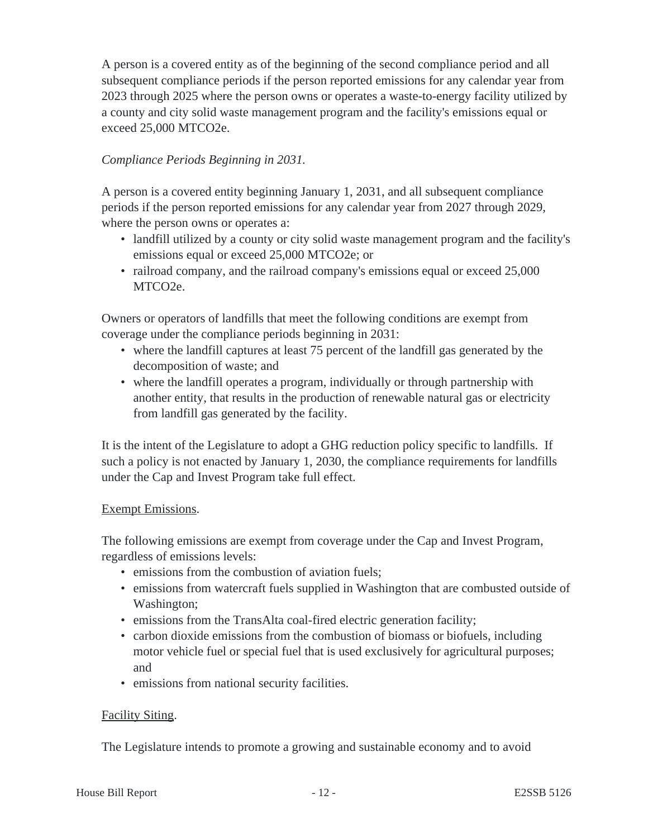A person is a covered entity as of the beginning of the second compliance period and all subsequent compliance periods if the person reported emissions for any calendar year from 2023 through 2025 where the person owns or operates a waste-to-energy facility utilized by a county and city solid waste management program and the facility's emissions equal or exceed 25,000 MTCO2e.

# *Compliance Periods Beginning in 2031.*

A person is a covered entity beginning January 1, 2031, and all subsequent compliance periods if the person reported emissions for any calendar year from 2027 through 2029, where the person owns or operates a:

- landfill utilized by a county or city solid waste management program and the facility's emissions equal or exceed 25,000 MTCO2e; or
- railroad company, and the railroad company's emissions equal or exceed 25,000 MTCO2e.

Owners or operators of landfills that meet the following conditions are exempt from coverage under the compliance periods beginning in 2031:

- where the landfill captures at least 75 percent of the landfill gas generated by the decomposition of waste; and
- where the landfill operates a program, individually or through partnership with another entity, that results in the production of renewable natural gas or electricity from landfill gas generated by the facility.

It is the intent of the Legislature to adopt a GHG reduction policy specific to landfills. If such a policy is not enacted by January 1, 2030, the compliance requirements for landfills under the Cap and Invest Program take full effect.

# Exempt Emissions.

The following emissions are exempt from coverage under the Cap and Invest Program, regardless of emissions levels:

- emissions from the combustion of aviation fuels;
- emissions from watercraft fuels supplied in Washington that are combusted outside of Washington;
- emissions from the TransAlta coal-fired electric generation facility;
- carbon dioxide emissions from the combustion of biomass or biofuels, including motor vehicle fuel or special fuel that is used exclusively for agricultural purposes; and
- emissions from national security facilities.

# Facility Siting.

The Legislature intends to promote a growing and sustainable economy and to avoid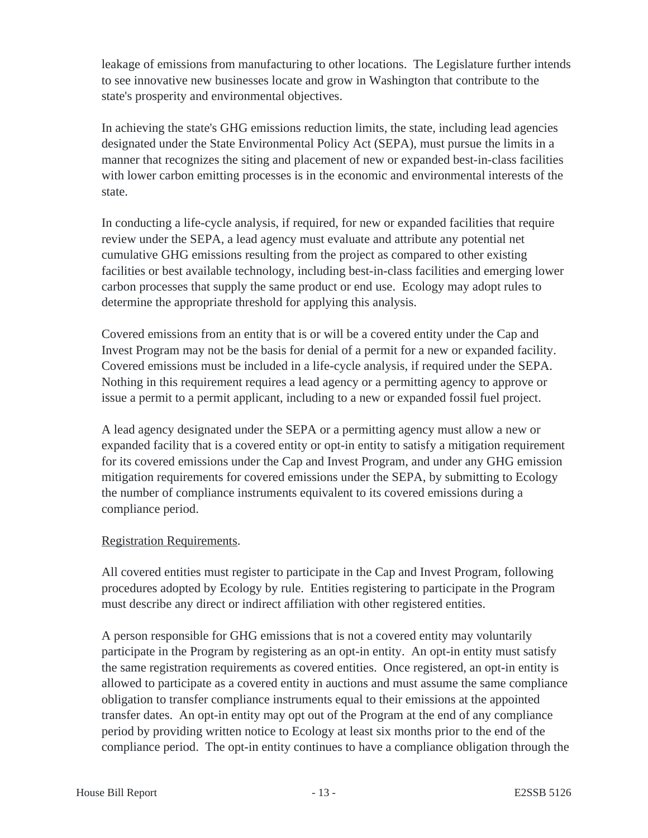leakage of emissions from manufacturing to other locations. The Legislature further intends to see innovative new businesses locate and grow in Washington that contribute to the state's prosperity and environmental objectives.

In achieving the state's GHG emissions reduction limits, the state, including lead agencies designated under the State Environmental Policy Act (SEPA), must pursue the limits in a manner that recognizes the siting and placement of new or expanded best-in-class facilities with lower carbon emitting processes is in the economic and environmental interests of the state.

In conducting a life-cycle analysis, if required, for new or expanded facilities that require review under the SEPA, a lead agency must evaluate and attribute any potential net cumulative GHG emissions resulting from the project as compared to other existing facilities or best available technology, including best-in-class facilities and emerging lower carbon processes that supply the same product or end use. Ecology may adopt rules to determine the appropriate threshold for applying this analysis.

Covered emissions from an entity that is or will be a covered entity under the Cap and Invest Program may not be the basis for denial of a permit for a new or expanded facility. Covered emissions must be included in a life-cycle analysis, if required under the SEPA. Nothing in this requirement requires a lead agency or a permitting agency to approve or issue a permit to a permit applicant, including to a new or expanded fossil fuel project.

A lead agency designated under the SEPA or a permitting agency must allow a new or expanded facility that is a covered entity or opt-in entity to satisfy a mitigation requirement for its covered emissions under the Cap and Invest Program, and under any GHG emission mitigation requirements for covered emissions under the SEPA, by submitting to Ecology the number of compliance instruments equivalent to its covered emissions during a compliance period.

# Registration Requirements.

All covered entities must register to participate in the Cap and Invest Program, following procedures adopted by Ecology by rule. Entities registering to participate in the Program must describe any direct or indirect affiliation with other registered entities.

A person responsible for GHG emissions that is not a covered entity may voluntarily participate in the Program by registering as an opt-in entity. An opt-in entity must satisfy the same registration requirements as covered entities. Once registered, an opt-in entity is allowed to participate as a covered entity in auctions and must assume the same compliance obligation to transfer compliance instruments equal to their emissions at the appointed transfer dates. An opt-in entity may opt out of the Program at the end of any compliance period by providing written notice to Ecology at least six months prior to the end of the compliance period. The opt-in entity continues to have a compliance obligation through the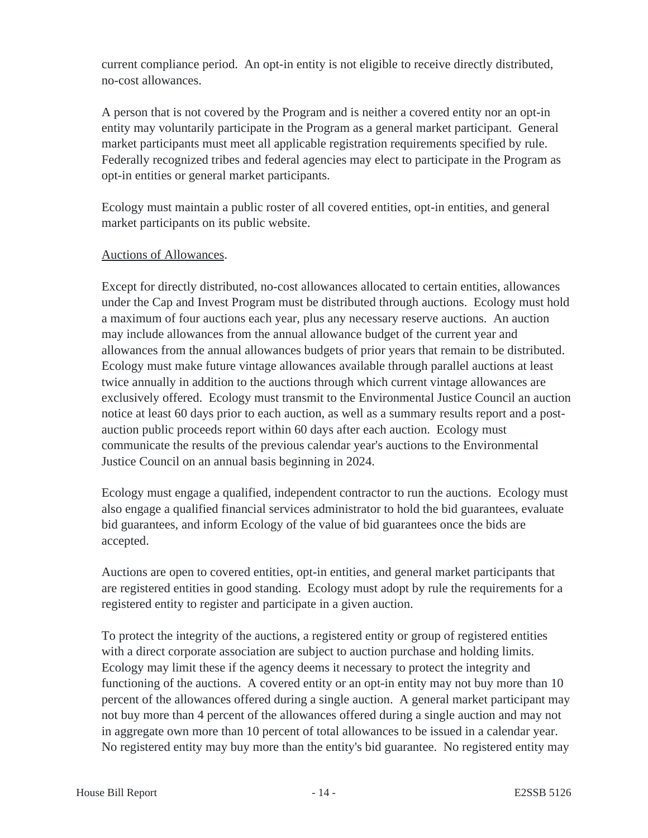current compliance period. An opt-in entity is not eligible to receive directly distributed, no-cost allowances.

A person that is not covered by the Program and is neither a covered entity nor an opt-in entity may voluntarily participate in the Program as a general market participant. General market participants must meet all applicable registration requirements specified by rule. Federally recognized tribes and federal agencies may elect to participate in the Program as opt-in entities or general market participants.

Ecology must maintain a public roster of all covered entities, opt-in entities, and general market participants on its public website.

#### Auctions of Allowances.

Except for directly distributed, no-cost allowances allocated to certain entities, allowances under the Cap and Invest Program must be distributed through auctions. Ecology must hold a maximum of four auctions each year, plus any necessary reserve auctions. An auction may include allowances from the annual allowance budget of the current year and allowances from the annual allowances budgets of prior years that remain to be distributed. Ecology must make future vintage allowances available through parallel auctions at least twice annually in addition to the auctions through which current vintage allowances are exclusively offered. Ecology must transmit to the Environmental Justice Council an auction notice at least 60 days prior to each auction, as well as a summary results report and a postauction public proceeds report within 60 days after each auction. Ecology must communicate the results of the previous calendar year's auctions to the Environmental Justice Council on an annual basis beginning in 2024.

Ecology must engage a qualified, independent contractor to run the auctions. Ecology must also engage a qualified financial services administrator to hold the bid guarantees, evaluate bid guarantees, and inform Ecology of the value of bid guarantees once the bids are accepted.

Auctions are open to covered entities, opt-in entities, and general market participants that are registered entities in good standing. Ecology must adopt by rule the requirements for a registered entity to register and participate in a given auction.

To protect the integrity of the auctions, a registered entity or group of registered entities with a direct corporate association are subject to auction purchase and holding limits. Ecology may limit these if the agency deems it necessary to protect the integrity and functioning of the auctions. A covered entity or an opt-in entity may not buy more than 10 percent of the allowances offered during a single auction. A general market participant may not buy more than 4 percent of the allowances offered during a single auction and may not in aggregate own more than 10 percent of total allowances to be issued in a calendar year. No registered entity may buy more than the entity's bid guarantee. No registered entity may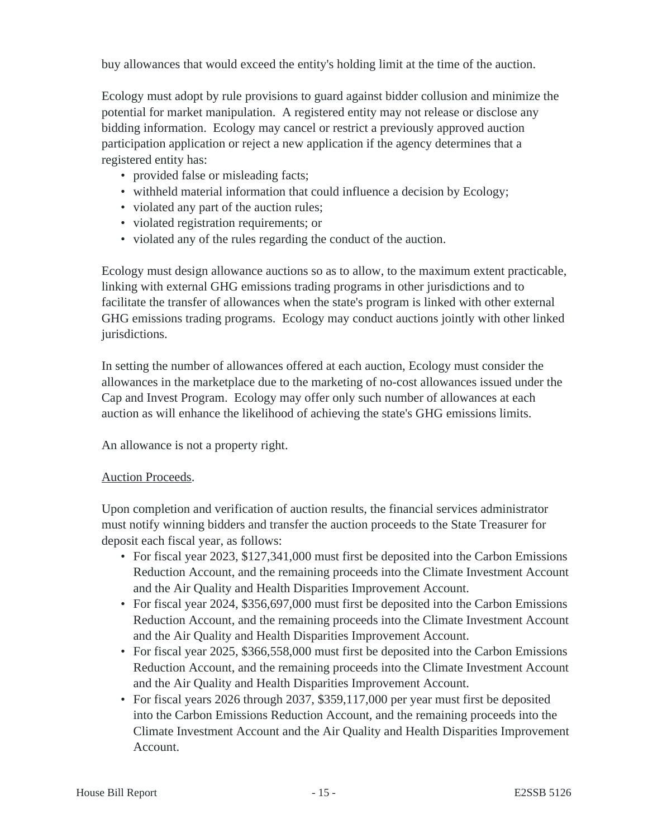buy allowances that would exceed the entity's holding limit at the time of the auction.

Ecology must adopt by rule provisions to guard against bidder collusion and minimize the potential for market manipulation. A registered entity may not release or disclose any bidding information. Ecology may cancel or restrict a previously approved auction participation application or reject a new application if the agency determines that a registered entity has:

- provided false or misleading facts;
- withheld material information that could influence a decision by Ecology;
- violated any part of the auction rules;
- violated registration requirements; or
- violated any of the rules regarding the conduct of the auction.

Ecology must design allowance auctions so as to allow, to the maximum extent practicable, linking with external GHG emissions trading programs in other jurisdictions and to facilitate the transfer of allowances when the state's program is linked with other external GHG emissions trading programs. Ecology may conduct auctions jointly with other linked jurisdictions.

In setting the number of allowances offered at each auction, Ecology must consider the allowances in the marketplace due to the marketing of no-cost allowances issued under the Cap and Invest Program. Ecology may offer only such number of allowances at each auction as will enhance the likelihood of achieving the state's GHG emissions limits.

An allowance is not a property right.

#### Auction Proceeds.

Upon completion and verification of auction results, the financial services administrator must notify winning bidders and transfer the auction proceeds to the State Treasurer for deposit each fiscal year, as follows:

- For fiscal year 2023, \$127,341,000 must first be deposited into the Carbon Emissions Reduction Account, and the remaining proceeds into the Climate Investment Account and the Air Quality and Health Disparities Improvement Account.
- For fiscal year 2024, \$356,697,000 must first be deposited into the Carbon Emissions Reduction Account, and the remaining proceeds into the Climate Investment Account and the Air Quality and Health Disparities Improvement Account.
- For fiscal year 2025, \$366,558,000 must first be deposited into the Carbon Emissions Reduction Account, and the remaining proceeds into the Climate Investment Account and the Air Quality and Health Disparities Improvement Account.
- For fiscal years 2026 through 2037, \$359,117,000 per year must first be deposited into the Carbon Emissions Reduction Account, and the remaining proceeds into the Climate Investment Account and the Air Quality and Health Disparities Improvement Account.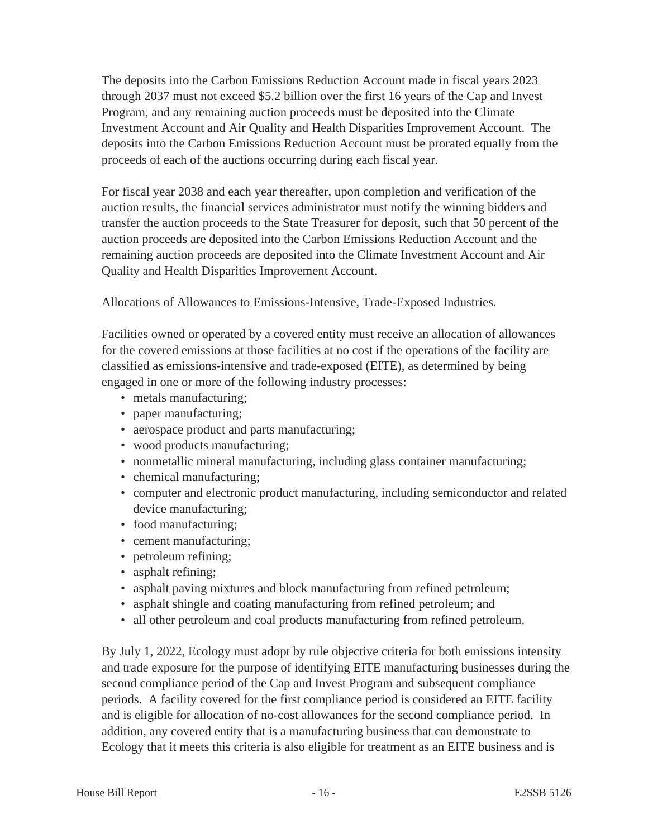The deposits into the Carbon Emissions Reduction Account made in fiscal years 2023 through 2037 must not exceed \$5.2 billion over the first 16 years of the Cap and Invest Program, and any remaining auction proceeds must be deposited into the Climate Investment Account and Air Quality and Health Disparities Improvement Account. The deposits into the Carbon Emissions Reduction Account must be prorated equally from the proceeds of each of the auctions occurring during each fiscal year.

For fiscal year 2038 and each year thereafter, upon completion and verification of the auction results, the financial services administrator must notify the winning bidders and transfer the auction proceeds to the State Treasurer for deposit, such that 50 percent of the auction proceeds are deposited into the Carbon Emissions Reduction Account and the remaining auction proceeds are deposited into the Climate Investment Account and Air Quality and Health Disparities Improvement Account.

#### Allocations of Allowances to Emissions-Intensive, Trade-Exposed Industries.

Facilities owned or operated by a covered entity must receive an allocation of allowances for the covered emissions at those facilities at no cost if the operations of the facility are classified as emissions-intensive and trade-exposed (EITE), as determined by being engaged in one or more of the following industry processes:

- metals manufacturing;
- paper manufacturing;
- aerospace product and parts manufacturing;
- wood products manufacturing;
- nonmetallic mineral manufacturing, including glass container manufacturing;
- chemical manufacturing;
- computer and electronic product manufacturing, including semiconductor and related device manufacturing;
- food manufacturing;
- cement manufacturing;
- petroleum refining;
- asphalt refining;
- asphalt paving mixtures and block manufacturing from refined petroleum;
- asphalt shingle and coating manufacturing from refined petroleum; and
- all other petroleum and coal products manufacturing from refined petroleum.

By July 1, 2022, Ecology must adopt by rule objective criteria for both emissions intensity and trade exposure for the purpose of identifying EITE manufacturing businesses during the second compliance period of the Cap and Invest Program and subsequent compliance periods. A facility covered for the first compliance period is considered an EITE facility and is eligible for allocation of no-cost allowances for the second compliance period. In addition, any covered entity that is a manufacturing business that can demonstrate to Ecology that it meets this criteria is also eligible for treatment as an EITE business and is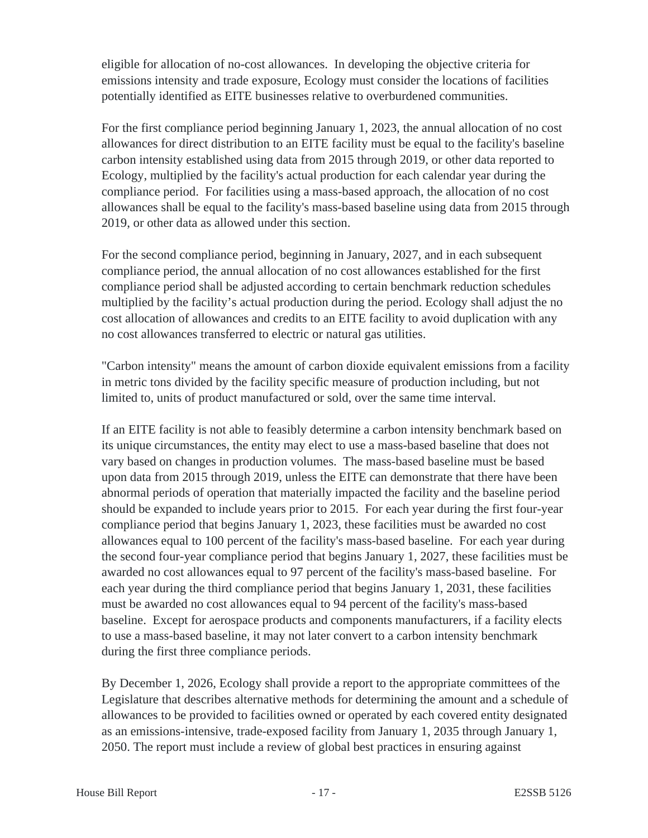eligible for allocation of no-cost allowances. In developing the objective criteria for emissions intensity and trade exposure, Ecology must consider the locations of facilities potentially identified as EITE businesses relative to overburdened communities.

For the first compliance period beginning January 1, 2023, the annual allocation of no cost allowances for direct distribution to an EITE facility must be equal to the facility's baseline carbon intensity established using data from 2015 through 2019, or other data reported to Ecology, multiplied by the facility's actual production for each calendar year during the compliance period. For facilities using a mass-based approach, the allocation of no cost allowances shall be equal to the facility's mass-based baseline using data from 2015 through 2019, or other data as allowed under this section.

For the second compliance period, beginning in January, 2027, and in each subsequent compliance period, the annual allocation of no cost allowances established for the first compliance period shall be adjusted according to certain benchmark reduction schedules multiplied by the facility's actual production during the period. Ecology shall adjust the no cost allocation of allowances and credits to an EITE facility to avoid duplication with any no cost allowances transferred to electric or natural gas utilities.

"Carbon intensity" means the amount of carbon dioxide equivalent emissions from a facility in metric tons divided by the facility specific measure of production including, but not limited to, units of product manufactured or sold, over the same time interval.

If an EITE facility is not able to feasibly determine a carbon intensity benchmark based on its unique circumstances, the entity may elect to use a mass-based baseline that does not vary based on changes in production volumes. The mass-based baseline must be based upon data from 2015 through 2019, unless the EITE can demonstrate that there have been abnormal periods of operation that materially impacted the facility and the baseline period should be expanded to include years prior to 2015. For each year during the first four-year compliance period that begins January 1, 2023, these facilities must be awarded no cost allowances equal to 100 percent of the facility's mass-based baseline. For each year during the second four-year compliance period that begins January 1, 2027, these facilities must be awarded no cost allowances equal to 97 percent of the facility's mass-based baseline. For each year during the third compliance period that begins January 1, 2031, these facilities must be awarded no cost allowances equal to 94 percent of the facility's mass-based baseline. Except for aerospace products and components manufacturers, if a facility elects to use a mass-based baseline, it may not later convert to a carbon intensity benchmark during the first three compliance periods.

By December 1, 2026, Ecology shall provide a report to the appropriate committees of the Legislature that describes alternative methods for determining the amount and a schedule of allowances to be provided to facilities owned or operated by each covered entity designated as an emissions-intensive, trade-exposed facility from January 1, 2035 through January 1, 2050. The report must include a review of global best practices in ensuring against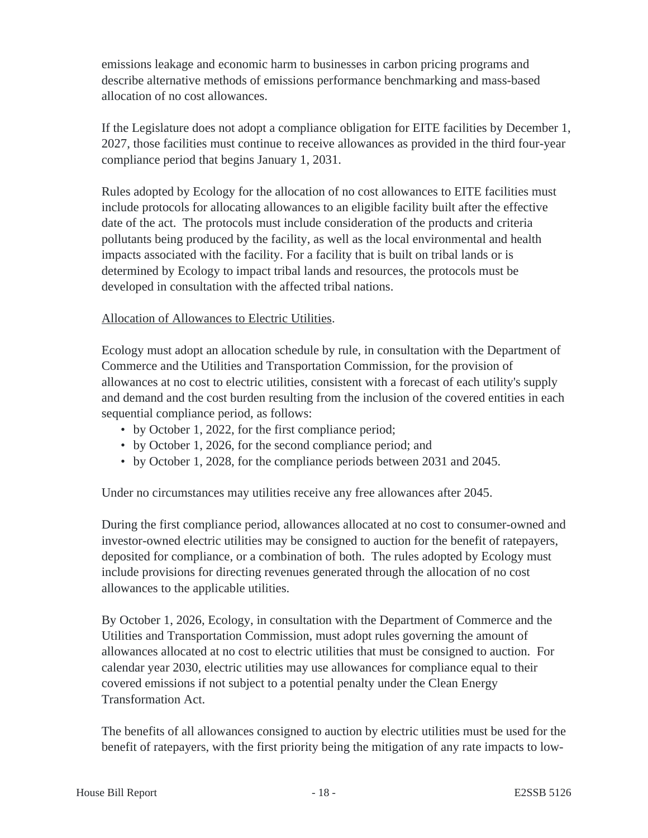emissions leakage and economic harm to businesses in carbon pricing programs and describe alternative methods of emissions performance benchmarking and mass-based allocation of no cost allowances.

If the Legislature does not adopt a compliance obligation for EITE facilities by December 1, 2027, those facilities must continue to receive allowances as provided in the third four-year compliance period that begins January 1, 2031.

Rules adopted by Ecology for the allocation of no cost allowances to EITE facilities must include protocols for allocating allowances to an eligible facility built after the effective date of the act. The protocols must include consideration of the products and criteria pollutants being produced by the facility, as well as the local environmental and health impacts associated with the facility. For a facility that is built on tribal lands or is determined by Ecology to impact tribal lands and resources, the protocols must be developed in consultation with the affected tribal nations.

# Allocation of Allowances to Electric Utilities.

Ecology must adopt an allocation schedule by rule, in consultation with the Department of Commerce and the Utilities and Transportation Commission, for the provision of allowances at no cost to electric utilities, consistent with a forecast of each utility's supply and demand and the cost burden resulting from the inclusion of the covered entities in each sequential compliance period, as follows:

- by October 1, 2022, for the first compliance period;
- by October 1, 2026, for the second compliance period; and
- by October 1, 2028, for the compliance periods between 2031 and 2045.

Under no circumstances may utilities receive any free allowances after 2045.

During the first compliance period, allowances allocated at no cost to consumer-owned and investor-owned electric utilities may be consigned to auction for the benefit of ratepayers, deposited for compliance, or a combination of both. The rules adopted by Ecology must include provisions for directing revenues generated through the allocation of no cost allowances to the applicable utilities.

By October 1, 2026, Ecology, in consultation with the Department of Commerce and the Utilities and Transportation Commission, must adopt rules governing the amount of allowances allocated at no cost to electric utilities that must be consigned to auction. For calendar year 2030, electric utilities may use allowances for compliance equal to their covered emissions if not subject to a potential penalty under the Clean Energy Transformation Act.

The benefits of all allowances consigned to auction by electric utilities must be used for the benefit of ratepayers, with the first priority being the mitigation of any rate impacts to low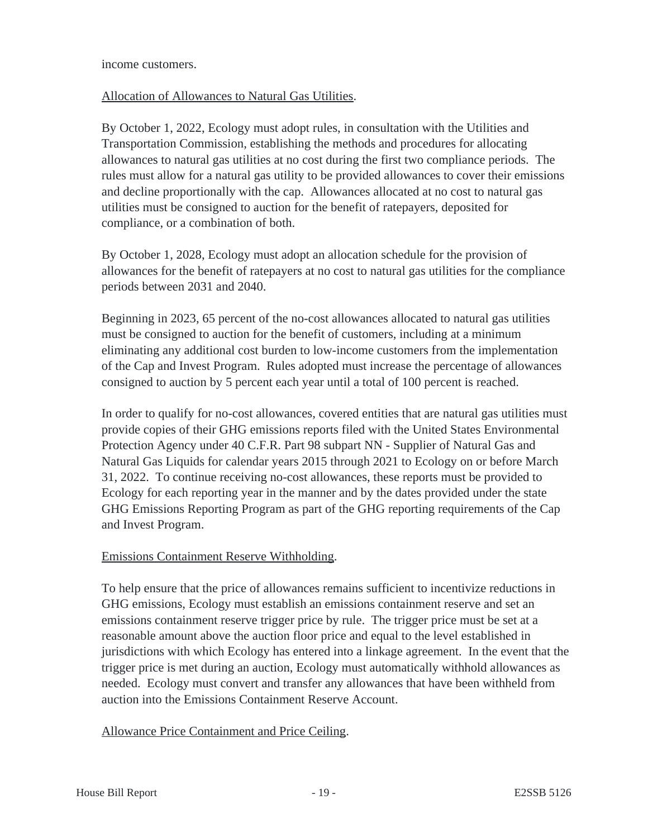income customers.

#### Allocation of Allowances to Natural Gas Utilities.

By October 1, 2022, Ecology must adopt rules, in consultation with the Utilities and Transportation Commission, establishing the methods and procedures for allocating allowances to natural gas utilities at no cost during the first two compliance periods. The rules must allow for a natural gas utility to be provided allowances to cover their emissions and decline proportionally with the cap. Allowances allocated at no cost to natural gas utilities must be consigned to auction for the benefit of ratepayers, deposited for compliance, or a combination of both.

By October 1, 2028, Ecology must adopt an allocation schedule for the provision of allowances for the benefit of ratepayers at no cost to natural gas utilities for the compliance periods between 2031 and 2040.

Beginning in 2023, 65 percent of the no-cost allowances allocated to natural gas utilities must be consigned to auction for the benefit of customers, including at a minimum eliminating any additional cost burden to low-income customers from the implementation of the Cap and Invest Program. Rules adopted must increase the percentage of allowances consigned to auction by 5 percent each year until a total of 100 percent is reached.

In order to qualify for no-cost allowances, covered entities that are natural gas utilities must provide copies of their GHG emissions reports filed with the United States Environmental Protection Agency under 40 C.F.R. Part 98 subpart NN - Supplier of Natural Gas and Natural Gas Liquids for calendar years 2015 through 2021 to Ecology on or before March 31, 2022. To continue receiving no-cost allowances, these reports must be provided to Ecology for each reporting year in the manner and by the dates provided under the state GHG Emissions Reporting Program as part of the GHG reporting requirements of the Cap and Invest Program.

# Emissions Containment Reserve Withholding.

To help ensure that the price of allowances remains sufficient to incentivize reductions in GHG emissions, Ecology must establish an emissions containment reserve and set an emissions containment reserve trigger price by rule. The trigger price must be set at a reasonable amount above the auction floor price and equal to the level established in jurisdictions with which Ecology has entered into a linkage agreement. In the event that the trigger price is met during an auction, Ecology must automatically withhold allowances as needed. Ecology must convert and transfer any allowances that have been withheld from auction into the Emissions Containment Reserve Account.

# Allowance Price Containment and Price Ceiling.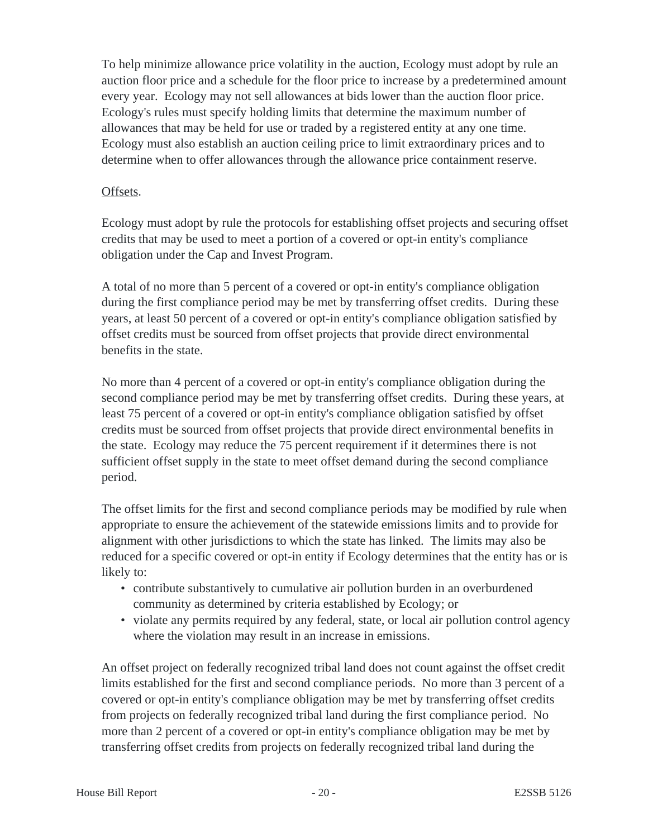To help minimize allowance price volatility in the auction, Ecology must adopt by rule an auction floor price and a schedule for the floor price to increase by a predetermined amount every year. Ecology may not sell allowances at bids lower than the auction floor price. Ecology's rules must specify holding limits that determine the maximum number of allowances that may be held for use or traded by a registered entity at any one time. Ecology must also establish an auction ceiling price to limit extraordinary prices and to determine when to offer allowances through the allowance price containment reserve.

#### Offsets.

Ecology must adopt by rule the protocols for establishing offset projects and securing offset credits that may be used to meet a portion of a covered or opt-in entity's compliance obligation under the Cap and Invest Program.

A total of no more than 5 percent of a covered or opt-in entity's compliance obligation during the first compliance period may be met by transferring offset credits. During these years, at least 50 percent of a covered or opt-in entity's compliance obligation satisfied by offset credits must be sourced from offset projects that provide direct environmental benefits in the state.

No more than 4 percent of a covered or opt-in entity's compliance obligation during the second compliance period may be met by transferring offset credits. During these years, at least 75 percent of a covered or opt-in entity's compliance obligation satisfied by offset credits must be sourced from offset projects that provide direct environmental benefits in the state. Ecology may reduce the 75 percent requirement if it determines there is not sufficient offset supply in the state to meet offset demand during the second compliance period.

The offset limits for the first and second compliance periods may be modified by rule when appropriate to ensure the achievement of the statewide emissions limits and to provide for alignment with other jurisdictions to which the state has linked. The limits may also be reduced for a specific covered or opt-in entity if Ecology determines that the entity has or is likely to:

- contribute substantively to cumulative air pollution burden in an overburdened community as determined by criteria established by Ecology; or
- violate any permits required by any federal, state, or local air pollution control agency where the violation may result in an increase in emissions.

An offset project on federally recognized tribal land does not count against the offset credit limits established for the first and second compliance periods. No more than 3 percent of a covered or opt-in entity's compliance obligation may be met by transferring offset credits from projects on federally recognized tribal land during the first compliance period. No more than 2 percent of a covered or opt-in entity's compliance obligation may be met by transferring offset credits from projects on federally recognized tribal land during the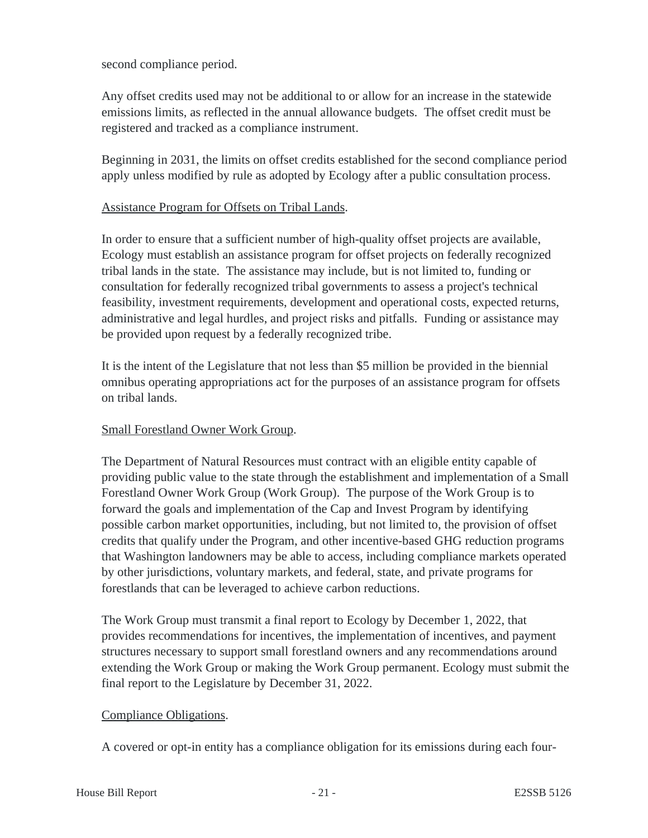second compliance period.

Any offset credits used may not be additional to or allow for an increase in the statewide emissions limits, as reflected in the annual allowance budgets. The offset credit must be registered and tracked as a compliance instrument.

Beginning in 2031, the limits on offset credits established for the second compliance period apply unless modified by rule as adopted by Ecology after a public consultation process.

#### Assistance Program for Offsets on Tribal Lands.

In order to ensure that a sufficient number of high-quality offset projects are available, Ecology must establish an assistance program for offset projects on federally recognized tribal lands in the state. The assistance may include, but is not limited to, funding or consultation for federally recognized tribal governments to assess a project's technical feasibility, investment requirements, development and operational costs, expected returns, administrative and legal hurdles, and project risks and pitfalls. Funding or assistance may be provided upon request by a federally recognized tribe.

It is the intent of the Legislature that not less than \$5 million be provided in the biennial omnibus operating appropriations act for the purposes of an assistance program for offsets on tribal lands.

#### Small Forestland Owner Work Group.

The Department of Natural Resources must contract with an eligible entity capable of providing public value to the state through the establishment and implementation of a Small Forestland Owner Work Group (Work Group). The purpose of the Work Group is to forward the goals and implementation of the Cap and Invest Program by identifying possible carbon market opportunities, including, but not limited to, the provision of offset credits that qualify under the Program, and other incentive-based GHG reduction programs that Washington landowners may be able to access, including compliance markets operated by other jurisdictions, voluntary markets, and federal, state, and private programs for forestlands that can be leveraged to achieve carbon reductions.

The Work Group must transmit a final report to Ecology by December 1, 2022, that provides recommendations for incentives, the implementation of incentives, and payment structures necessary to support small forestland owners and any recommendations around extending the Work Group or making the Work Group permanent. Ecology must submit the final report to the Legislature by December 31, 2022.

#### Compliance Obligations.

A covered or opt-in entity has a compliance obligation for its emissions during each four-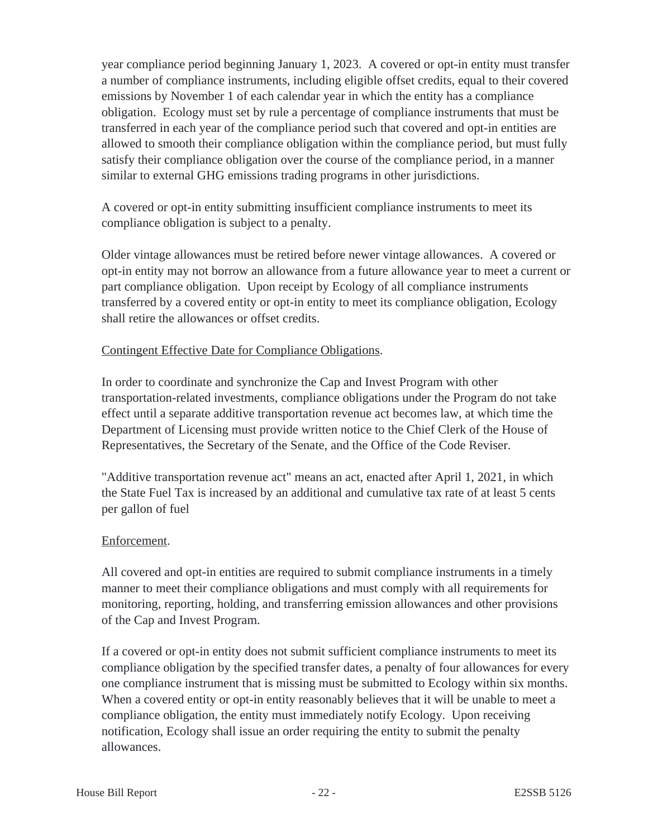year compliance period beginning January 1, 2023. A covered or opt-in entity must transfer a number of compliance instruments, including eligible offset credits, equal to their covered emissions by November 1 of each calendar year in which the entity has a compliance obligation. Ecology must set by rule a percentage of compliance instruments that must be transferred in each year of the compliance period such that covered and opt-in entities are allowed to smooth their compliance obligation within the compliance period, but must fully satisfy their compliance obligation over the course of the compliance period, in a manner similar to external GHG emissions trading programs in other jurisdictions.

A covered or opt-in entity submitting insufficient compliance instruments to meet its compliance obligation is subject to a penalty.

Older vintage allowances must be retired before newer vintage allowances. A covered or opt-in entity may not borrow an allowance from a future allowance year to meet a current or part compliance obligation. Upon receipt by Ecology of all compliance instruments transferred by a covered entity or opt-in entity to meet its compliance obligation, Ecology shall retire the allowances or offset credits.

# Contingent Effective Date for Compliance Obligations.

In order to coordinate and synchronize the Cap and Invest Program with other transportation-related investments, compliance obligations under the Program do not take effect until a separate additive transportation revenue act becomes law, at which time the Department of Licensing must provide written notice to the Chief Clerk of the House of Representatives, the Secretary of the Senate, and the Office of the Code Reviser.

"Additive transportation revenue act" means an act, enacted after April 1, 2021, in which the State Fuel Tax is increased by an additional and cumulative tax rate of at least 5 cents per gallon of fuel

#### Enforcement.

All covered and opt-in entities are required to submit compliance instruments in a timely manner to meet their compliance obligations and must comply with all requirements for monitoring, reporting, holding, and transferring emission allowances and other provisions of the Cap and Invest Program.

If a covered or opt-in entity does not submit sufficient compliance instruments to meet its compliance obligation by the specified transfer dates, a penalty of four allowances for every one compliance instrument that is missing must be submitted to Ecology within six months. When a covered entity or opt-in entity reasonably believes that it will be unable to meet a compliance obligation, the entity must immediately notify Ecology. Upon receiving notification, Ecology shall issue an order requiring the entity to submit the penalty allowances.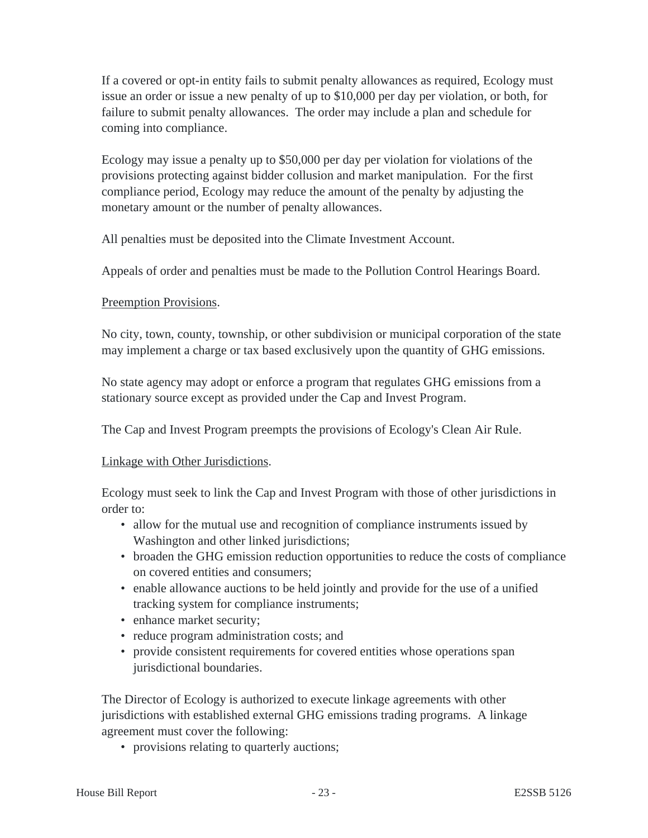If a covered or opt-in entity fails to submit penalty allowances as required, Ecology must issue an order or issue a new penalty of up to \$10,000 per day per violation, or both, for failure to submit penalty allowances. The order may include a plan and schedule for coming into compliance.

Ecology may issue a penalty up to \$50,000 per day per violation for violations of the provisions protecting against bidder collusion and market manipulation. For the first compliance period, Ecology may reduce the amount of the penalty by adjusting the monetary amount or the number of penalty allowances.

All penalties must be deposited into the Climate Investment Account.

Appeals of order and penalties must be made to the Pollution Control Hearings Board.

#### Preemption Provisions.

No city, town, county, township, or other subdivision or municipal corporation of the state may implement a charge or tax based exclusively upon the quantity of GHG emissions.

No state agency may adopt or enforce a program that regulates GHG emissions from a stationary source except as provided under the Cap and Invest Program.

The Cap and Invest Program preempts the provisions of Ecology's Clean Air Rule.

#### Linkage with Other Jurisdictions.

Ecology must seek to link the Cap and Invest Program with those of other jurisdictions in order to:

- allow for the mutual use and recognition of compliance instruments issued by Washington and other linked jurisdictions;
- broaden the GHG emission reduction opportunities to reduce the costs of compliance on covered entities and consumers;
- enable allowance auctions to be held jointly and provide for the use of a unified tracking system for compliance instruments;
- enhance market security;
- reduce program administration costs; and
- provide consistent requirements for covered entities whose operations span jurisdictional boundaries.

The Director of Ecology is authorized to execute linkage agreements with other jurisdictions with established external GHG emissions trading programs. A linkage agreement must cover the following:

• provisions relating to quarterly auctions;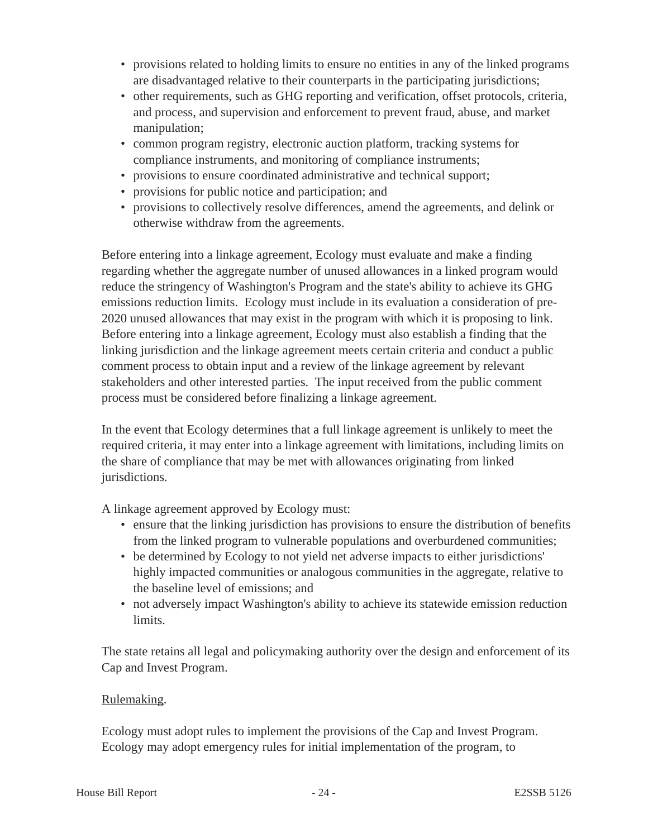- provisions related to holding limits to ensure no entities in any of the linked programs are disadvantaged relative to their counterparts in the participating jurisdictions;
- other requirements, such as GHG reporting and verification, offset protocols, criteria, and process, and supervision and enforcement to prevent fraud, abuse, and market manipulation;
- common program registry, electronic auction platform, tracking systems for compliance instruments, and monitoring of compliance instruments;
- provisions to ensure coordinated administrative and technical support;
- provisions for public notice and participation; and
- provisions to collectively resolve differences, amend the agreements, and delink or otherwise withdraw from the agreements.

Before entering into a linkage agreement, Ecology must evaluate and make a finding regarding whether the aggregate number of unused allowances in a linked program would reduce the stringency of Washington's Program and the state's ability to achieve its GHG emissions reduction limits. Ecology must include in its evaluation a consideration of pre-2020 unused allowances that may exist in the program with which it is proposing to link. Before entering into a linkage agreement, Ecology must also establish a finding that the linking jurisdiction and the linkage agreement meets certain criteria and conduct a public comment process to obtain input and a review of the linkage agreement by relevant stakeholders and other interested parties. The input received from the public comment process must be considered before finalizing a linkage agreement.

In the event that Ecology determines that a full linkage agreement is unlikely to meet the required criteria, it may enter into a linkage agreement with limitations, including limits on the share of compliance that may be met with allowances originating from linked jurisdictions.

A linkage agreement approved by Ecology must:

- ensure that the linking jurisdiction has provisions to ensure the distribution of benefits from the linked program to vulnerable populations and overburdened communities;
- be determined by Ecology to not yield net adverse impacts to either jurisdictions' highly impacted communities or analogous communities in the aggregate, relative to the baseline level of emissions; and
- not adversely impact Washington's ability to achieve its statewide emission reduction limits.

The state retains all legal and policymaking authority over the design and enforcement of its Cap and Invest Program.

# Rulemaking.

Ecology must adopt rules to implement the provisions of the Cap and Invest Program. Ecology may adopt emergency rules for initial implementation of the program, to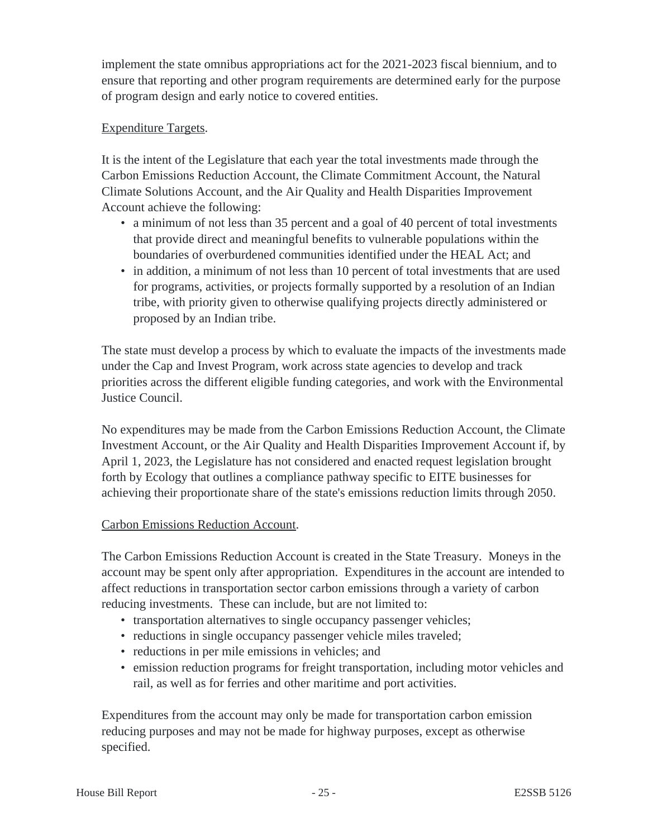implement the state omnibus appropriations act for the 2021-2023 fiscal biennium, and to ensure that reporting and other program requirements are determined early for the purpose of program design and early notice to covered entities.

# Expenditure Targets.

It is the intent of the Legislature that each year the total investments made through the Carbon Emissions Reduction Account, the Climate Commitment Account, the Natural Climate Solutions Account, and the Air Quality and Health Disparities Improvement Account achieve the following:

- a minimum of not less than 35 percent and a goal of 40 percent of total investments that provide direct and meaningful benefits to vulnerable populations within the boundaries of overburdened communities identified under the HEAL Act; and
- in addition, a minimum of not less than 10 percent of total investments that are used for programs, activities, or projects formally supported by a resolution of an Indian tribe, with priority given to otherwise qualifying projects directly administered or proposed by an Indian tribe.

The state must develop a process by which to evaluate the impacts of the investments made under the Cap and Invest Program, work across state agencies to develop and track priorities across the different eligible funding categories, and work with the Environmental Justice Council.

No expenditures may be made from the Carbon Emissions Reduction Account, the Climate Investment Account, or the Air Quality and Health Disparities Improvement Account if, by April 1, 2023, the Legislature has not considered and enacted request legislation brought forth by Ecology that outlines a compliance pathway specific to EITE businesses for achieving their proportionate share of the state's emissions reduction limits through 2050.

# Carbon Emissions Reduction Account.

The Carbon Emissions Reduction Account is created in the State Treasury. Moneys in the account may be spent only after appropriation. Expenditures in the account are intended to affect reductions in transportation sector carbon emissions through a variety of carbon reducing investments. These can include, but are not limited to:

- transportation alternatives to single occupancy passenger vehicles;
- reductions in single occupancy passenger vehicle miles traveled;
- reductions in per mile emissions in vehicles; and
- emission reduction programs for freight transportation, including motor vehicles and rail, as well as for ferries and other maritime and port activities.

Expenditures from the account may only be made for transportation carbon emission reducing purposes and may not be made for highway purposes, except as otherwise specified.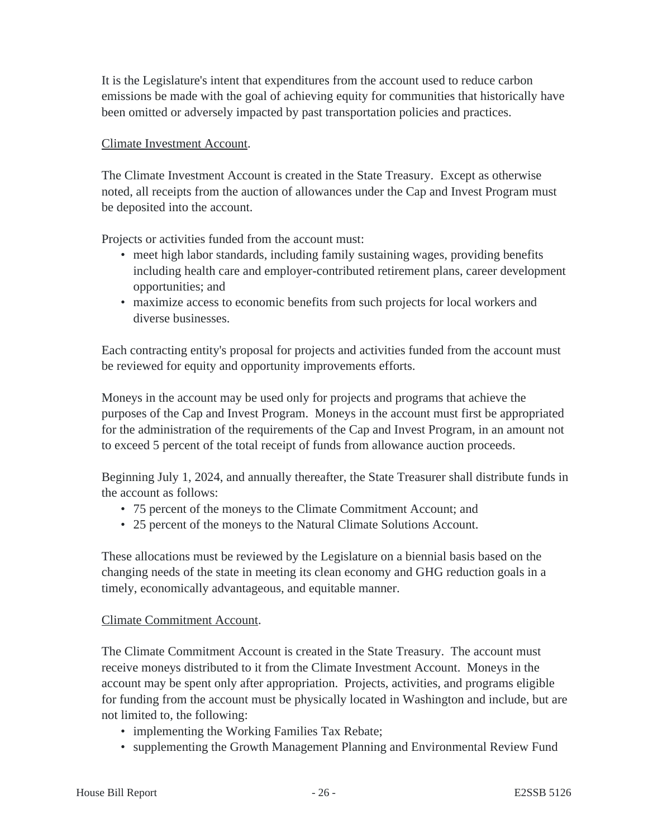It is the Legislature's intent that expenditures from the account used to reduce carbon emissions be made with the goal of achieving equity for communities that historically have been omitted or adversely impacted by past transportation policies and practices.

#### Climate Investment Account.

The Climate Investment Account is created in the State Treasury. Except as otherwise noted, all receipts from the auction of allowances under the Cap and Invest Program must be deposited into the account.

Projects or activities funded from the account must:

- meet high labor standards, including family sustaining wages, providing benefits including health care and employer-contributed retirement plans, career development opportunities; and
- maximize access to economic benefits from such projects for local workers and diverse businesses.

Each contracting entity's proposal for projects and activities funded from the account must be reviewed for equity and opportunity improvements efforts.

Moneys in the account may be used only for projects and programs that achieve the purposes of the Cap and Invest Program. Moneys in the account must first be appropriated for the administration of the requirements of the Cap and Invest Program, in an amount not to exceed 5 percent of the total receipt of funds from allowance auction proceeds.

Beginning July 1, 2024, and annually thereafter, the State Treasurer shall distribute funds in the account as follows:

- 75 percent of the moneys to the Climate Commitment Account; and
- 25 percent of the moneys to the Natural Climate Solutions Account.

These allocations must be reviewed by the Legislature on a biennial basis based on the changing needs of the state in meeting its clean economy and GHG reduction goals in a timely, economically advantageous, and equitable manner.

# Climate Commitment Account.

The Climate Commitment Account is created in the State Treasury. The account must receive moneys distributed to it from the Climate Investment Account. Moneys in the account may be spent only after appropriation. Projects, activities, and programs eligible for funding from the account must be physically located in Washington and include, but are not limited to, the following:

- implementing the Working Families Tax Rebate;
- supplementing the Growth Management Planning and Environmental Review Fund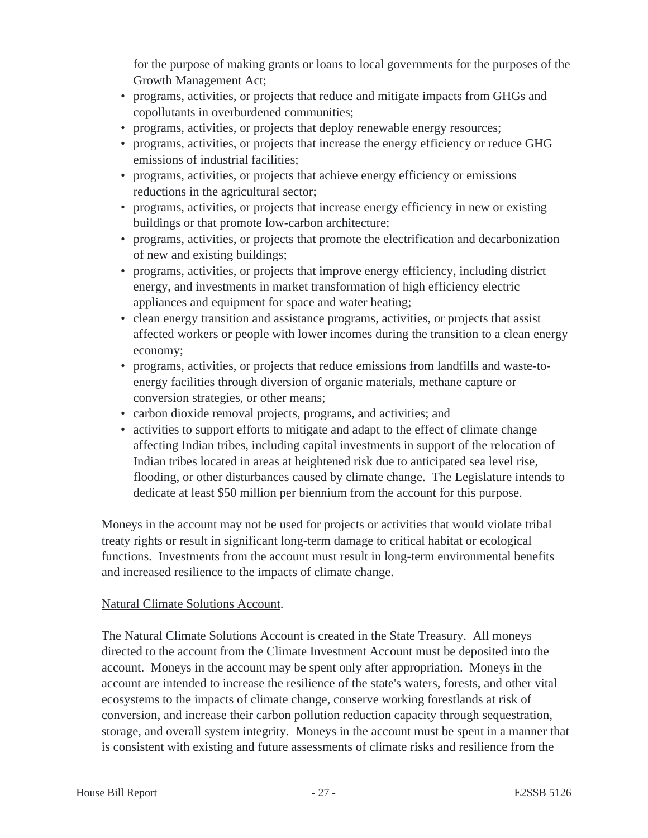for the purpose of making grants or loans to local governments for the purposes of the Growth Management Act;

- programs, activities, or projects that reduce and mitigate impacts from GHGs and copollutants in overburdened communities;
- programs, activities, or projects that deploy renewable energy resources;
- programs, activities, or projects that increase the energy efficiency or reduce GHG emissions of industrial facilities;
- programs, activities, or projects that achieve energy efficiency or emissions reductions in the agricultural sector;
- programs, activities, or projects that increase energy efficiency in new or existing buildings or that promote low-carbon architecture;
- programs, activities, or projects that promote the electrification and decarbonization of new and existing buildings;
- programs, activities, or projects that improve energy efficiency, including district energy, and investments in market transformation of high efficiency electric appliances and equipment for space and water heating;
- clean energy transition and assistance programs, activities, or projects that assist affected workers or people with lower incomes during the transition to a clean energy economy;
- programs, activities, or projects that reduce emissions from landfills and waste-toenergy facilities through diversion of organic materials, methane capture or conversion strategies, or other means;
- carbon dioxide removal projects, programs, and activities; and
- activities to support efforts to mitigate and adapt to the effect of climate change affecting Indian tribes, including capital investments in support of the relocation of Indian tribes located in areas at heightened risk due to anticipated sea level rise, flooding, or other disturbances caused by climate change. The Legislature intends to dedicate at least \$50 million per biennium from the account for this purpose.

Moneys in the account may not be used for projects or activities that would violate tribal treaty rights or result in significant long-term damage to critical habitat or ecological functions. Investments from the account must result in long-term environmental benefits and increased resilience to the impacts of climate change.

# Natural Climate Solutions Account.

The Natural Climate Solutions Account is created in the State Treasury. All moneys directed to the account from the Climate Investment Account must be deposited into the account. Moneys in the account may be spent only after appropriation. Moneys in the account are intended to increase the resilience of the state's waters, forests, and other vital ecosystems to the impacts of climate change, conserve working forestlands at risk of conversion, and increase their carbon pollution reduction capacity through sequestration, storage, and overall system integrity. Moneys in the account must be spent in a manner that is consistent with existing and future assessments of climate risks and resilience from the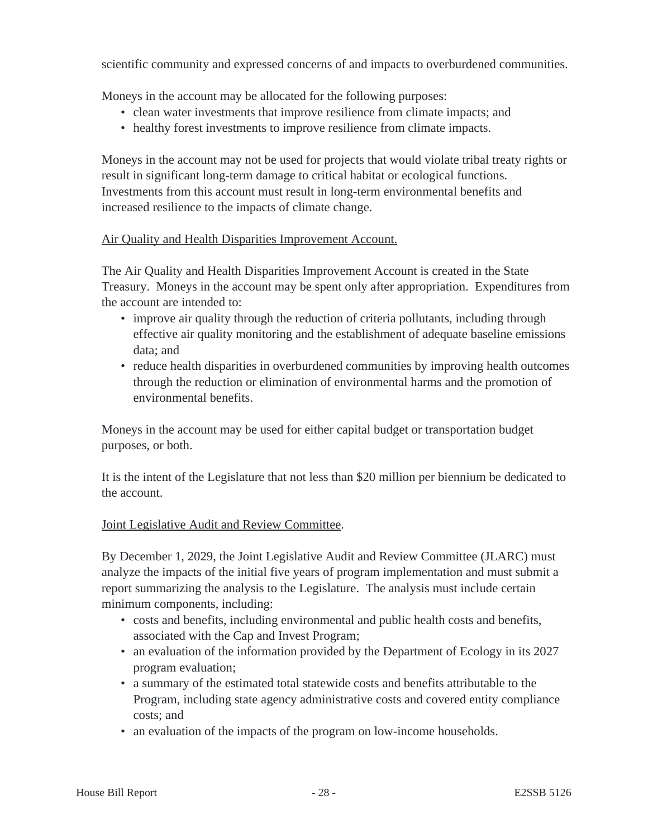scientific community and expressed concerns of and impacts to overburdened communities.

Moneys in the account may be allocated for the following purposes:

- clean water investments that improve resilience from climate impacts; and
- healthy forest investments to improve resilience from climate impacts.

Moneys in the account may not be used for projects that would violate tribal treaty rights or result in significant long-term damage to critical habitat or ecological functions. Investments from this account must result in long-term environmental benefits and increased resilience to the impacts of climate change.

#### Air Quality and Health Disparities Improvement Account.

The Air Quality and Health Disparities Improvement Account is created in the State Treasury. Moneys in the account may be spent only after appropriation. Expenditures from the account are intended to:

- improve air quality through the reduction of criteria pollutants, including through effective air quality monitoring and the establishment of adequate baseline emissions data; and
- reduce health disparities in overburdened communities by improving health outcomes through the reduction or elimination of environmental harms and the promotion of environmental benefits.

Moneys in the account may be used for either capital budget or transportation budget purposes, or both.

It is the intent of the Legislature that not less than \$20 million per biennium be dedicated to the account.

#### Joint Legislative Audit and Review Committee.

By December 1, 2029, the Joint Legislative Audit and Review Committee (JLARC) must analyze the impacts of the initial five years of program implementation and must submit a report summarizing the analysis to the Legislature. The analysis must include certain minimum components, including:

- costs and benefits, including environmental and public health costs and benefits, associated with the Cap and Invest Program;
- an evaluation of the information provided by the Department of Ecology in its 2027 program evaluation;
- a summary of the estimated total statewide costs and benefits attributable to the Program, including state agency administrative costs and covered entity compliance costs; and
- an evaluation of the impacts of the program on low-income households.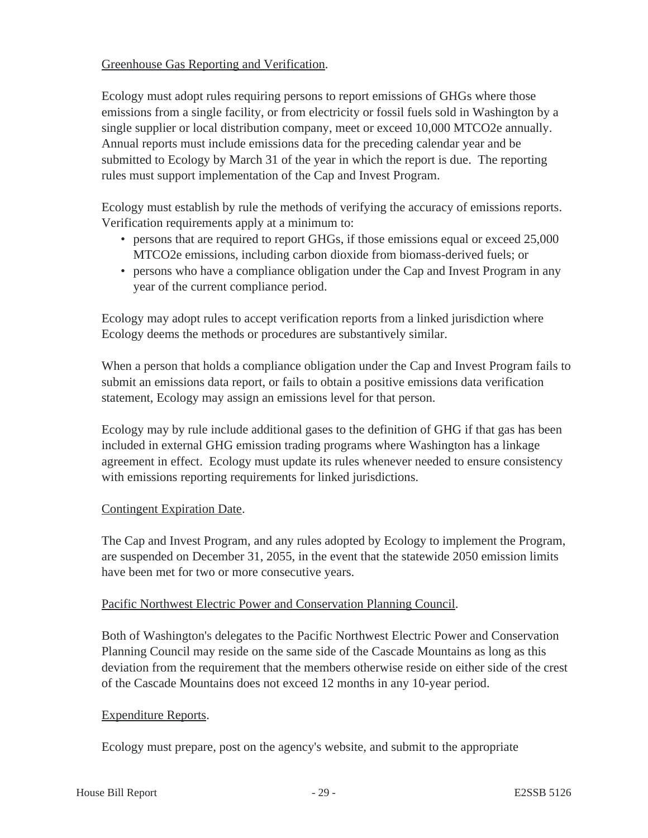# Greenhouse Gas Reporting and Verification.

Ecology must adopt rules requiring persons to report emissions of GHGs where those emissions from a single facility, or from electricity or fossil fuels sold in Washington by a single supplier or local distribution company, meet or exceed 10,000 MTCO2e annually. Annual reports must include emissions data for the preceding calendar year and be submitted to Ecology by March 31 of the year in which the report is due. The reporting rules must support implementation of the Cap and Invest Program.

Ecology must establish by rule the methods of verifying the accuracy of emissions reports. Verification requirements apply at a minimum to:

- persons that are required to report GHGs, if those emissions equal or exceed 25,000 MTCO2e emissions, including carbon dioxide from biomass-derived fuels; or
- persons who have a compliance obligation under the Cap and Invest Program in any year of the current compliance period.

Ecology may adopt rules to accept verification reports from a linked jurisdiction where Ecology deems the methods or procedures are substantively similar.

When a person that holds a compliance obligation under the Cap and Invest Program fails to submit an emissions data report, or fails to obtain a positive emissions data verification statement, Ecology may assign an emissions level for that person.

Ecology may by rule include additional gases to the definition of GHG if that gas has been included in external GHG emission trading programs where Washington has a linkage agreement in effect. Ecology must update its rules whenever needed to ensure consistency with emissions reporting requirements for linked jurisdictions.

# Contingent Expiration Date.

The Cap and Invest Program, and any rules adopted by Ecology to implement the Program, are suspended on December 31, 2055, in the event that the statewide 2050 emission limits have been met for two or more consecutive years.

#### Pacific Northwest Electric Power and Conservation Planning Council.

Both of Washington's delegates to the Pacific Northwest Electric Power and Conservation Planning Council may reside on the same side of the Cascade Mountains as long as this deviation from the requirement that the members otherwise reside on either side of the crest of the Cascade Mountains does not exceed 12 months in any 10-year period.

# Expenditure Reports.

Ecology must prepare, post on the agency's website, and submit to the appropriate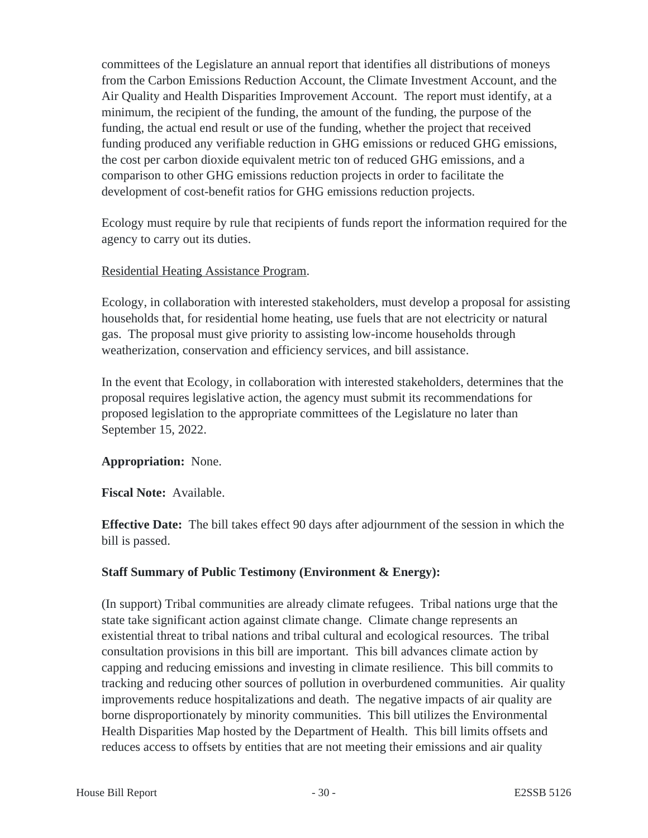committees of the Legislature an annual report that identifies all distributions of moneys from the Carbon Emissions Reduction Account, the Climate Investment Account, and the Air Quality and Health Disparities Improvement Account. The report must identify, at a minimum, the recipient of the funding, the amount of the funding, the purpose of the funding, the actual end result or use of the funding, whether the project that received funding produced any verifiable reduction in GHG emissions or reduced GHG emissions, the cost per carbon dioxide equivalent metric ton of reduced GHG emissions, and a comparison to other GHG emissions reduction projects in order to facilitate the development of cost-benefit ratios for GHG emissions reduction projects.

Ecology must require by rule that recipients of funds report the information required for the agency to carry out its duties.

#### Residential Heating Assistance Program.

Ecology, in collaboration with interested stakeholders, must develop a proposal for assisting households that, for residential home heating, use fuels that are not electricity or natural gas. The proposal must give priority to assisting low-income households through weatherization, conservation and efficiency services, and bill assistance.

In the event that Ecology, in collaboration with interested stakeholders, determines that the proposal requires legislative action, the agency must submit its recommendations for proposed legislation to the appropriate committees of the Legislature no later than September 15, 2022.

# **Appropriation:** None.

**Fiscal Note:** Available.

**Effective Date:** The bill takes effect 90 days after adjournment of the session in which the bill is passed.

# **Staff Summary of Public Testimony (Environment & Energy):**

(In support) Tribal communities are already climate refugees. Tribal nations urge that the state take significant action against climate change. Climate change represents an existential threat to tribal nations and tribal cultural and ecological resources. The tribal consultation provisions in this bill are important. This bill advances climate action by capping and reducing emissions and investing in climate resilience. This bill commits to tracking and reducing other sources of pollution in overburdened communities. Air quality improvements reduce hospitalizations and death. The negative impacts of air quality are borne disproportionately by minority communities. This bill utilizes the Environmental Health Disparities Map hosted by the Department of Health. This bill limits offsets and reduces access to offsets by entities that are not meeting their emissions and air quality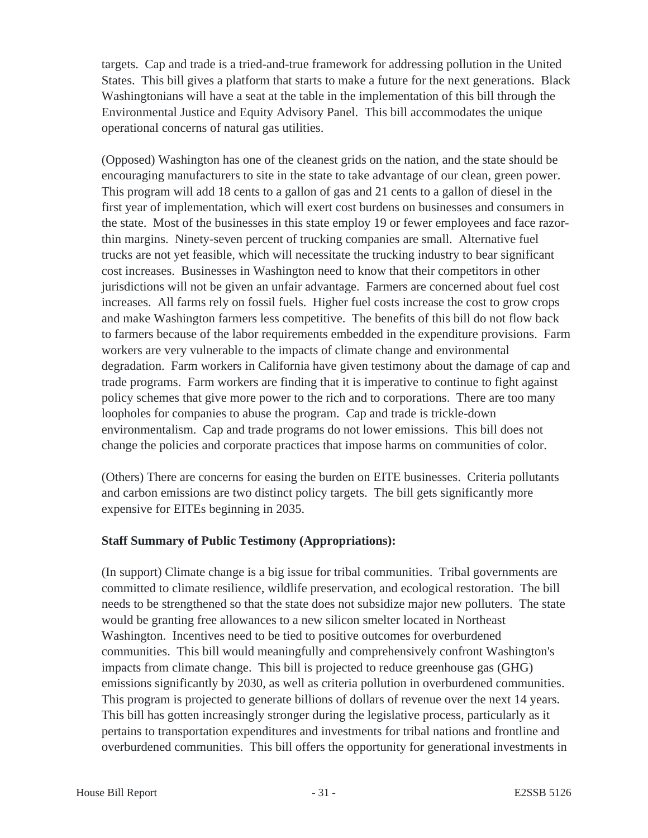targets. Cap and trade is a tried-and-true framework for addressing pollution in the United States. This bill gives a platform that starts to make a future for the next generations. Black Washingtonians will have a seat at the table in the implementation of this bill through the Environmental Justice and Equity Advisory Panel. This bill accommodates the unique operational concerns of natural gas utilities.

(Opposed) Washington has one of the cleanest grids on the nation, and the state should be encouraging manufacturers to site in the state to take advantage of our clean, green power. This program will add 18 cents to a gallon of gas and 21 cents to a gallon of diesel in the first year of implementation, which will exert cost burdens on businesses and consumers in the state. Most of the businesses in this state employ 19 or fewer employees and face razorthin margins. Ninety-seven percent of trucking companies are small. Alternative fuel trucks are not yet feasible, which will necessitate the trucking industry to bear significant cost increases. Businesses in Washington need to know that their competitors in other jurisdictions will not be given an unfair advantage. Farmers are concerned about fuel cost increases. All farms rely on fossil fuels. Higher fuel costs increase the cost to grow crops and make Washington farmers less competitive. The benefits of this bill do not flow back to farmers because of the labor requirements embedded in the expenditure provisions. Farm workers are very vulnerable to the impacts of climate change and environmental degradation. Farm workers in California have given testimony about the damage of cap and trade programs. Farm workers are finding that it is imperative to continue to fight against policy schemes that give more power to the rich and to corporations. There are too many loopholes for companies to abuse the program. Cap and trade is trickle-down environmentalism. Cap and trade programs do not lower emissions. This bill does not change the policies and corporate practices that impose harms on communities of color.

(Others) There are concerns for easing the burden on EITE businesses. Criteria pollutants and carbon emissions are two distinct policy targets. The bill gets significantly more expensive for EITEs beginning in 2035.

# **Staff Summary of Public Testimony (Appropriations):**

(In support) Climate change is a big issue for tribal communities. Tribal governments are committed to climate resilience, wildlife preservation, and ecological restoration. The bill needs to be strengthened so that the state does not subsidize major new polluters. The state would be granting free allowances to a new silicon smelter located in Northeast Washington. Incentives need to be tied to positive outcomes for overburdened communities. This bill would meaningfully and comprehensively confront Washington's impacts from climate change. This bill is projected to reduce greenhouse gas (GHG) emissions significantly by 2030, as well as criteria pollution in overburdened communities. This program is projected to generate billions of dollars of revenue over the next 14 years. This bill has gotten increasingly stronger during the legislative process, particularly as it pertains to transportation expenditures and investments for tribal nations and frontline and overburdened communities. This bill offers the opportunity for generational investments in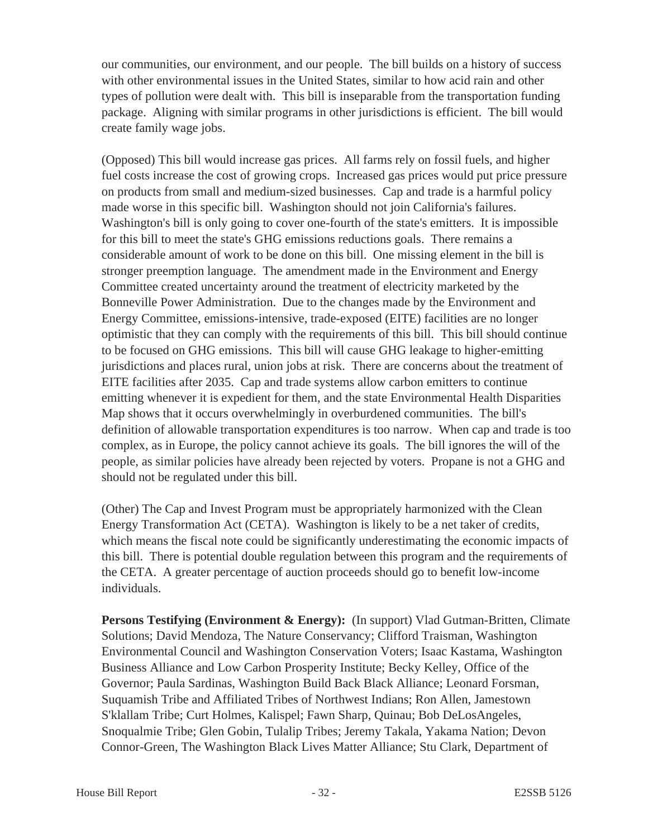our communities, our environment, and our people. The bill builds on a history of success with other environmental issues in the United States, similar to how acid rain and other types of pollution were dealt with. This bill is inseparable from the transportation funding package. Aligning with similar programs in other jurisdictions is efficient. The bill would create family wage jobs.

(Opposed) This bill would increase gas prices. All farms rely on fossil fuels, and higher fuel costs increase the cost of growing crops. Increased gas prices would put price pressure on products from small and medium-sized businesses. Cap and trade is a harmful policy made worse in this specific bill. Washington should not join California's failures. Washington's bill is only going to cover one-fourth of the state's emitters. It is impossible for this bill to meet the state's GHG emissions reductions goals. There remains a considerable amount of work to be done on this bill. One missing element in the bill is stronger preemption language. The amendment made in the Environment and Energy Committee created uncertainty around the treatment of electricity marketed by the Bonneville Power Administration. Due to the changes made by the Environment and Energy Committee, emissions-intensive, trade-exposed (EITE) facilities are no longer optimistic that they can comply with the requirements of this bill. This bill should continue to be focused on GHG emissions. This bill will cause GHG leakage to higher-emitting jurisdictions and places rural, union jobs at risk. There are concerns about the treatment of EITE facilities after 2035. Cap and trade systems allow carbon emitters to continue emitting whenever it is expedient for them, and the state Environmental Health Disparities Map shows that it occurs overwhelmingly in overburdened communities. The bill's definition of allowable transportation expenditures is too narrow. When cap and trade is too complex, as in Europe, the policy cannot achieve its goals. The bill ignores the will of the people, as similar policies have already been rejected by voters. Propane is not a GHG and should not be regulated under this bill.

(Other) The Cap and Invest Program must be appropriately harmonized with the Clean Energy Transformation Act (CETA). Washington is likely to be a net taker of credits, which means the fiscal note could be significantly underestimating the economic impacts of this bill. There is potential double regulation between this program and the requirements of the CETA. A greater percentage of auction proceeds should go to benefit low-income individuals.

**Persons Testifying (Environment & Energy):** (In support) Vlad Gutman-Britten, Climate Solutions; David Mendoza, The Nature Conservancy; Clifford Traisman, Washington Environmental Council and Washington Conservation Voters; Isaac Kastama, Washington Business Alliance and Low Carbon Prosperity Institute; Becky Kelley, Office of the Governor; Paula Sardinas, Washington Build Back Black Alliance; Leonard Forsman, Suquamish Tribe and Affiliated Tribes of Northwest Indians; Ron Allen, Jamestown S'klallam Tribe; Curt Holmes, Kalispel; Fawn Sharp, Quinau; Bob DeLosAngeles, Snoqualmie Tribe; Glen Gobin, Tulalip Tribes; Jeremy Takala, Yakama Nation; Devon Connor-Green, The Washington Black Lives Matter Alliance; Stu Clark, Department of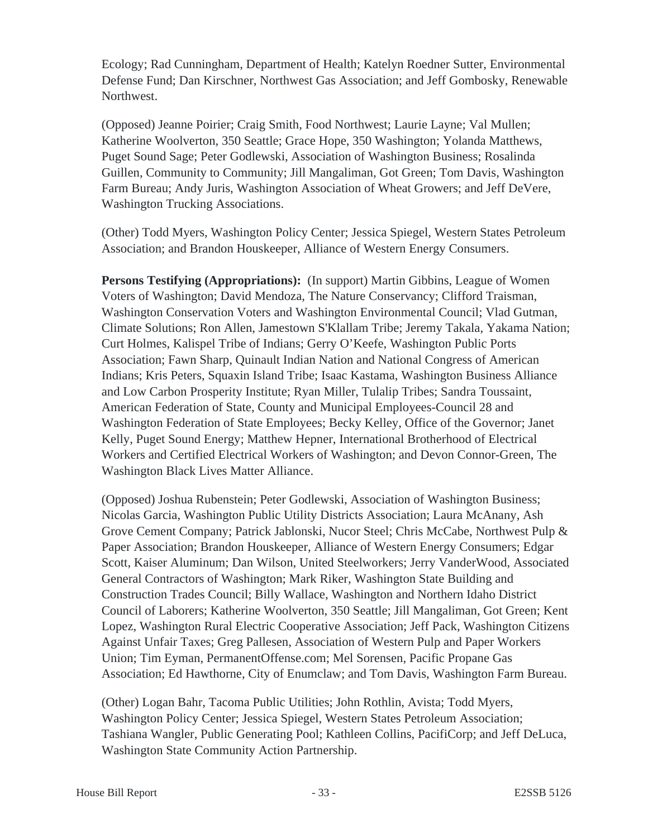Ecology; Rad Cunningham, Department of Health; Katelyn Roedner Sutter, Environmental Defense Fund; Dan Kirschner, Northwest Gas Association; and Jeff Gombosky, Renewable Northwest.

(Opposed) Jeanne Poirier; Craig Smith, Food Northwest; Laurie Layne; Val Mullen; Katherine Woolverton, 350 Seattle; Grace Hope, 350 Washington; Yolanda Matthews, Puget Sound Sage; Peter Godlewski, Association of Washington Business; Rosalinda Guillen, Community to Community; Jill Mangaliman, Got Green; Tom Davis, Washington Farm Bureau; Andy Juris, Washington Association of Wheat Growers; and Jeff DeVere, Washington Trucking Associations.

(Other) Todd Myers, Washington Policy Center; Jessica Spiegel, Western States Petroleum Association; and Brandon Houskeeper, Alliance of Western Energy Consumers.

**Persons Testifying (Appropriations):** (In support) Martin Gibbins, League of Women Voters of Washington; David Mendoza, The Nature Conservancy; Clifford Traisman, Washington Conservation Voters and Washington Environmental Council; Vlad Gutman, Climate Solutions; Ron Allen, Jamestown S'Klallam Tribe; Jeremy Takala, Yakama Nation; Curt Holmes, Kalispel Tribe of Indians; Gerry O'Keefe, Washington Public Ports Association; Fawn Sharp, Quinault Indian Nation and National Congress of American Indians; Kris Peters, Squaxin Island Tribe; Isaac Kastama, Washington Business Alliance and Low Carbon Prosperity Institute; Ryan Miller, Tulalip Tribes; Sandra Toussaint, American Federation of State, County and Municipal Employees-Council 28 and Washington Federation of State Employees; Becky Kelley, Office of the Governor; Janet Kelly, Puget Sound Energy; Matthew Hepner, International Brotherhood of Electrical Workers and Certified Electrical Workers of Washington; and Devon Connor-Green, The Washington Black Lives Matter Alliance.

(Opposed) Joshua Rubenstein; Peter Godlewski, Association of Washington Business; Nicolas Garcia, Washington Public Utility Districts Association; Laura McAnany, Ash Grove Cement Company; Patrick Jablonski, Nucor Steel; Chris McCabe, Northwest Pulp & Paper Association; Brandon Houskeeper, Alliance of Western Energy Consumers; Edgar Scott, Kaiser Aluminum; Dan Wilson, United Steelworkers; Jerry VanderWood, Associated General Contractors of Washington; Mark Riker, Washington State Building and Construction Trades Council; Billy Wallace, Washington and Northern Idaho District Council of Laborers; Katherine Woolverton, 350 Seattle; Jill Mangaliman, Got Green; Kent Lopez, Washington Rural Electric Cooperative Association; Jeff Pack, Washington Citizens Against Unfair Taxes; Greg Pallesen, Association of Western Pulp and Paper Workers Union; Tim Eyman, PermanentOffense.com; Mel Sorensen, Pacific Propane Gas Association; Ed Hawthorne, City of Enumclaw; and Tom Davis, Washington Farm Bureau.

(Other) Logan Bahr, Tacoma Public Utilities; John Rothlin, Avista; Todd Myers, Washington Policy Center; Jessica Spiegel, Western States Petroleum Association; Tashiana Wangler, Public Generating Pool; Kathleen Collins, PacifiCorp; and Jeff DeLuca, Washington State Community Action Partnership.